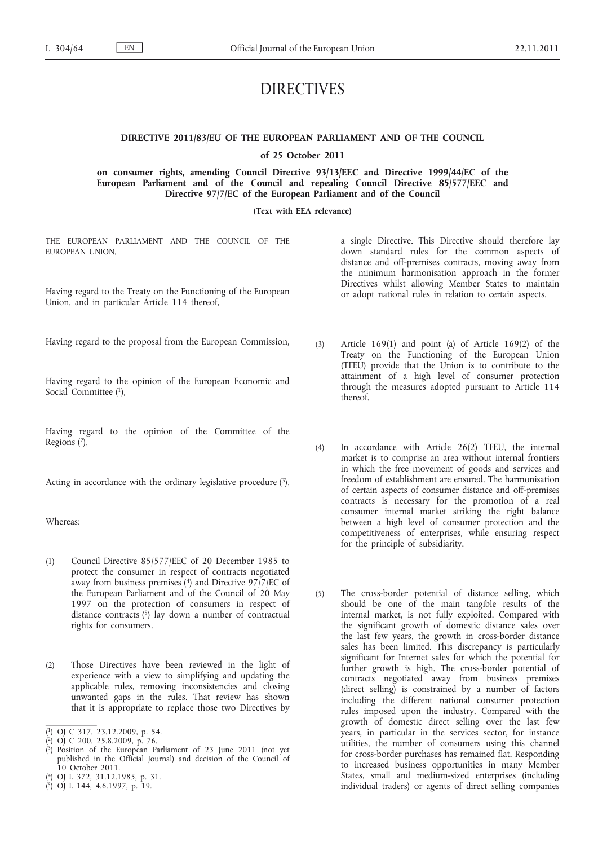# DIRECTIVES

## **DIRECTIVE 2011/83/EU OF THE EUROPEAN PARLIAMENT AND OF THE COUNCIL of 25 October 2011**

**on consumer rights, amending Council Directive 93/13/EEC and Directive 1999/44/EC of the European Parliament and of the Council and repealing Council Directive 85/577/EEC and Directive 97/7/EC of the European Parliament and of the Council**

**(Text with EEA relevance)**

THE EUROPEAN PARLIAMENT AND THE COUNCIL OF THE EUROPEAN UNION,

Having regard to the Treaty on the Functioning of the European Union, and in particular Article 114 thereof,

Having regard to the proposal from the European Commission,

Having regard to the opinion of the European Economic and Social Committee (1),

Having regard to the opinion of the Committee of the Regions  $(2)$ ,

Acting in accordance with the ordinary legislative procedure  $(3)$ ,

Whereas:

- (1) Council Directive 85/577/EEC of 20 December 1985 to protect the consumer in respect of contracts negotiated away from business premises  $(4)$  and Directive 97/7/EC of the European Parliament and of the Council of 20 May 1997 on the protection of consumers in respect of distance contracts  $(5)$  lay down a number of contractual rights for consumers.
- (2) Those Directives have been reviewed in the light of experience with a view to simplifying and updating the applicable rules, removing inconsistencies and closing unwanted gaps in the rules. That review has shown that it is appropriate to replace those two Directives by

- ( 3) Position of the European Parliament of 23 June 2011 (not yet published in the Official Journal) and decision of the Council of 10 October 2011.
- ( 4) OJ L 372, 31.12.1985, p. 31.
- ( 5) OJ L 144, 4.6.1997, p. 19.

a single Directive. This Directive should therefore lay down standard rules for the common aspects of distance and off-premises contracts, moving away from the minimum harmonisation approach in the former Directives whilst allowing Member States to maintain or adopt national rules in relation to certain aspects.

- (3) Article 169(1) and point (a) of Article 169(2) of the Treaty on the Functioning of the European Union (TFEU) provide that the Union is to contribute to the attainment of a high level of consumer protection through the measures adopted pursuant to Article 114 thereof.
- (4) In accordance with Article 26(2) TFEU, the internal market is to comprise an area without internal frontiers in which the free movement of goods and services and freedom of establishment are ensured. The harmonisation of certain aspects of consumer distance and off-premises contracts is necessary for the promotion of a real consumer internal market striking the right balance between a high level of consumer protection and the competitiveness of enterprises, while ensuring respect for the principle of subsidiarity.
- (5) The cross-border potential of distance selling, which should be one of the main tangible results of the internal market, is not fully exploited. Compared with the significant growth of domestic distance sales over the last few years, the growth in cross-border distance sales has been limited. This discrepancy is particularly significant for Internet sales for which the potential for further growth is high. The cross-border potential of contracts negotiated away from business premises (direct selling) is constrained by a number of factors including the different national consumer protection rules imposed upon the industry. Compared with the growth of domestic direct selling over the last few years, in particular in the services sector, for instance utilities, the number of consumers using this channel for cross-border purchases has remained flat. Responding to increased business opportunities in many Member States, small and medium-sized enterprises (including individual traders) or agents of direct selling companies

<sup>(</sup> 1) OJ C 317, 23.12.2009, p. 54.

<sup>(</sup> 2) OJ C 200, 25.8.2009, p. 76.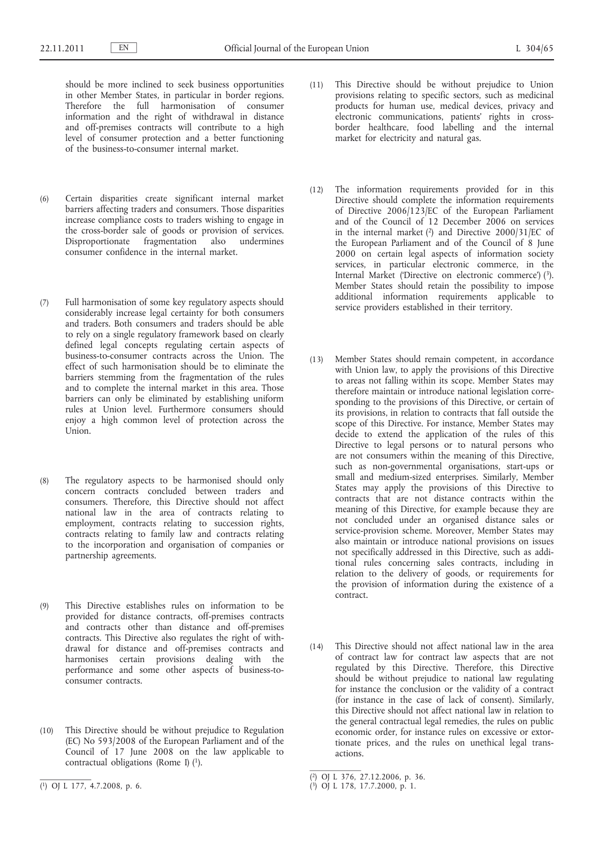should be more inclined to seek business opportunities in other Member States, in particular in border regions. Therefore the full harmonisation of consumer information and the right of withdrawal in distance and off-premises contracts will contribute to a high level of consumer protection and a better functioning of the business-to-consumer internal market.

- (6) Certain disparities create significant internal market barriers affecting traders and consumers. Those disparities increase compliance costs to traders wishing to engage in the cross-border sale of goods or provision of services. Disproportionate fragmentation also undermines consumer confidence in the internal market.
- (7) Full harmonisation of some key regulatory aspects should considerably increase legal certainty for both consumers and traders. Both consumers and traders should be able to rely on a single regulatory framework based on clearly defined legal concepts regulating certain aspects of business-to-consumer contracts across the Union. The effect of such harmonisation should be to eliminate the barriers stemming from the fragmentation of the rules and to complete the internal market in this area. Those barriers can only be eliminated by establishing uniform rules at Union level. Furthermore consumers should enjoy a high common level of protection across the Union.
- (8) The regulatory aspects to be harmonised should only concern contracts concluded between traders and consumers. Therefore, this Directive should not affect national law in the area of contracts relating to employment, contracts relating to succession rights, contracts relating to family law and contracts relating to the incorporation and organisation of companies or partnership agreements.
- provided for distance contracts, off-premises contracts and contracts other than distance and off-premises contracts. This Directive also regulates the right of withdrawal for distance and off-premises contracts and harmonises certain provisions dealing with the performance and some other aspects of business-toconsumer contracts.
- (10) This Directive should be without prejudice to Regulation (EC) No 593/2008 of the European Parliament and of the Council of 17 June 2008 on the law applicable to contractual obligations (Rome I) (1).
- (13) Member States should remain competent, in accordance with Union law, to apply the provisions of this Directive to areas not falling within its scope. Member States may therefore maintain or introduce national legislation corresponding to the provisions of this Directive, or certain of its provisions, in relation to contracts that fall outside the scope of this Directive. For instance, Member States may decide to extend the application of the rules of this Directive to legal persons or to natural persons who are not consumers within the meaning of this Directive, such as non-governmental organisations, start-ups or small and medium-sized enterprises. Similarly, Member States may apply the provisions of this Directive to contracts that are not distance contracts within the meaning of this Directive, for example because they are not concluded under an organised distance sales or service-provision scheme. Moreover, Member States may also maintain or introduce national provisions on issues not specifically addressed in this Directive, such as additional rules concerning sales contracts, including in relation to the delivery of goods, or requirements for the provision of information during the existence of a contract.
- (14) This Directive should not affect national law in the area of contract law for contract law aspects that are not regulated by this Directive. Therefore, this Directive should be without prejudice to national law regulating for instance the conclusion or the validity of a contract (for instance in the case of lack of consent). Similarly, this Directive should not affect national law in relation to the general contractual legal remedies, the rules on public economic order, for instance rules on excessive or extortionate prices, and the rules on unethical legal transactions.

( 1) OJ L 177, 4.7.2008, p. 6.

(11) This Directive should be without prejudice to Union provisions relating to specific sectors, such as medicinal products for human use, medical devices, privacy and electronic communications, patients' rights in crossborder healthcare, food labelling and the internal market for electricity and natural gas.

> (12) The information requirements provided for in this Directive should complete the information requirements of Directive 2006/123/EC of the European Parliament and of the Council of 12 December 2006 on services in the internal market  $(2)$  and Directive 2000/31/EC of the European Parliament and of the Council of 8 June 2000 on certain legal aspects of information society services, in particular electronic commerce, in the Internal Market ('Directive on electronic commerce') (3). Member States should retain the possibility to impose additional information requirements applicable to service providers established in their territory.

<sup>(</sup> 2) OJ L 376, 27.12.2006, p. 36.

<sup>(</sup> 3) OJ L 178, 17.7.2000, p. 1.

<sup>(9)</sup> This Directive establishes rules on information to be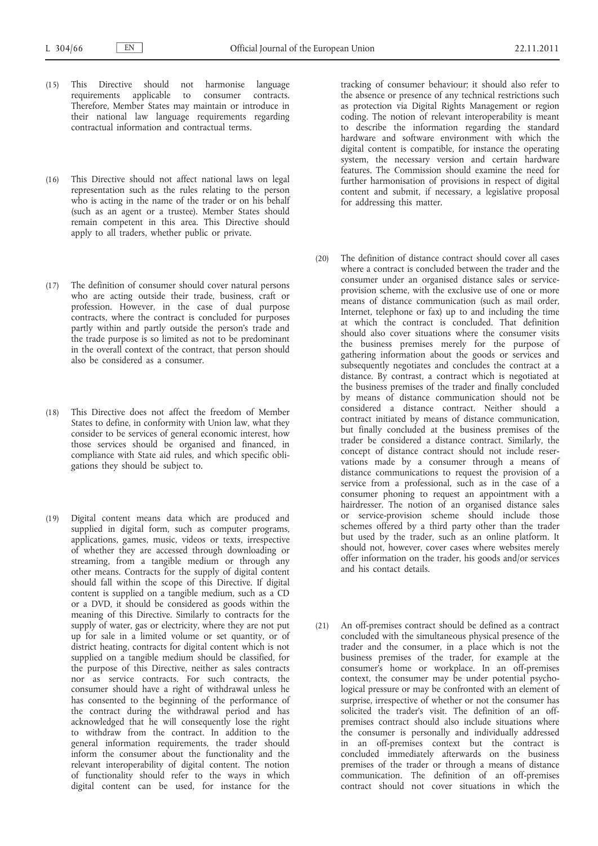- (15) This Directive should not harmonise language requirements applicable to consumer contracts. Therefore, Member States may maintain or introduce in their national law language requirements regarding contractual information and contractual terms.
- (16) This Directive should not affect national laws on legal representation such as the rules relating to the person who is acting in the name of the trader or on his behalf (such as an agent or a trustee). Member States should remain competent in this area. This Directive should apply to all traders, whether public or private.
- (17) The definition of consumer should cover natural persons who are acting outside their trade, business, craft or profession. However, in the case of dual purpose contracts, where the contract is concluded for purposes partly within and partly outside the person's trade and the trade purpose is so limited as not to be predominant in the overall context of the contract, that person should also be considered as a consumer.
- (18) This Directive does not affect the freedom of Member States to define, in conformity with Union law, what they consider to be services of general economic interest, how those services should be organised and financed, in compliance with State aid rules, and which specific obligations they should be subject to.
- (19) Digital content means data which are produced and supplied in digital form, such as computer programs, applications, games, music, videos or texts, irrespective of whether they are accessed through downloading or streaming, from a tangible medium or through any other means. Contracts for the supply of digital content should fall within the scope of this Directive. If digital content is supplied on a tangible medium, such as a CD or a DVD, it should be considered as goods within the meaning of this Directive. Similarly to contracts for the supply of water, gas or electricity, where they are not put up for sale in a limited volume or set quantity, or of district heating, contracts for digital content which is not supplied on a tangible medium should be classified, for the purpose of this Directive, neither as sales contracts nor as service contracts. For such contracts, the consumer should have a right of withdrawal unless he has consented to the beginning of the performance of the contract during the withdrawal period and has acknowledged that he will consequently lose the right to withdraw from the contract. In addition to the general information requirements, the trader should inform the consumer about the functionality and the relevant interoperability of digital content. The notion of functionality should refer to the ways in which digital content can be used, for instance for the

tracking of consumer behaviour; it should also refer to the absence or presence of any technical restrictions such as protection via Digital Rights Management or region coding. The notion of relevant interoperability is meant to describe the information regarding the standard hardware and software environment with which the digital content is compatible, for instance the operating system, the necessary version and certain hardware features. The Commission should examine the need for further harmonisation of provisions in respect of digital content and submit, if necessary, a legislative proposal for addressing this matter.

- (20) The definition of distance contract should cover all cases where a contract is concluded between the trader and the consumer under an organised distance sales or serviceprovision scheme, with the exclusive use of one or more means of distance communication (such as mail order, Internet, telephone or fax) up to and including the time at which the contract is concluded. That definition should also cover situations where the consumer visits the business premises merely for the purpose of gathering information about the goods or services and subsequently negotiates and concludes the contract at a distance. By contrast, a contract which is negotiated at the business premises of the trader and finally concluded by means of distance communication should not be considered a distance contract. Neither should a contract initiated by means of distance communication, but finally concluded at the business premises of the trader be considered a distance contract. Similarly, the concept of distance contract should not include reservations made by a consumer through a means of distance communications to request the provision of a service from a professional, such as in the case of a consumer phoning to request an appointment with a hairdresser. The notion of an organised distance sales or service-provision scheme should include those schemes offered by a third party other than the trader but used by the trader, such as an online platform. It should not, however, cover cases where websites merely offer information on the trader, his goods and/or services and his contact details.
- (21) An off-premises contract should be defined as a contract concluded with the simultaneous physical presence of the trader and the consumer, in a place which is not the business premises of the trader, for example at the consumer's home or workplace. In an off-premises context, the consumer may be under potential psychological pressure or may be confronted with an element of surprise, irrespective of whether or not the consumer has solicited the trader's visit. The definition of an offpremises contract should also include situations where the consumer is personally and individually addressed in an off-premises context but the contract is concluded immediately afterwards on the business premises of the trader or through a means of distance communication. The definition of an off-premises contract should not cover situations in which the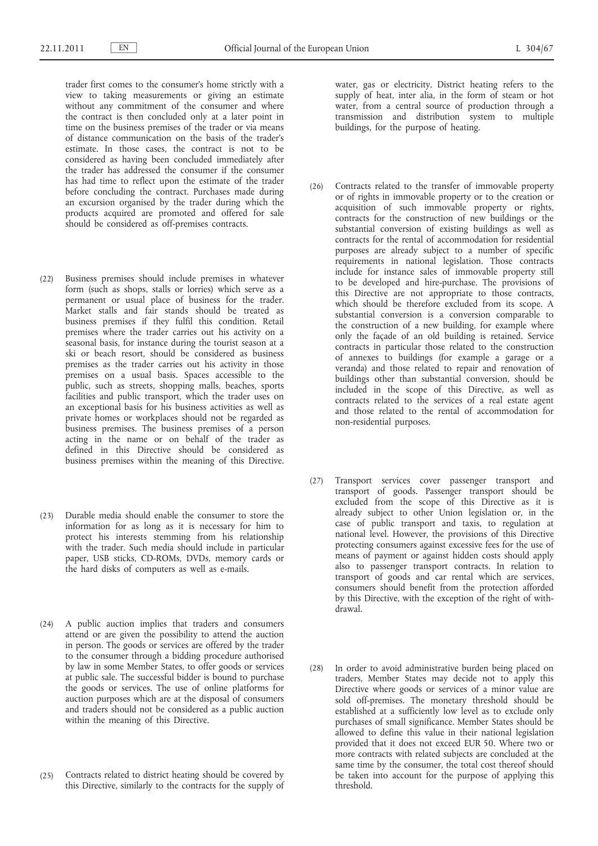trader first comes to the consumer's home strictly with a view to taking measurements or giving an estimate without any commitment of the consumer and where the contract is then concluded only at a later point in time on the business premises of the trader or via means of distance communication on the basis of the trader's estimate. In those cases, the contract is not to be considered as having been concluded immediately after the trader has addressed the consumer if the consumer has had time to reflect upon the estimate of the trader before concluding the contract. Purchases made during an excursion organised by the trader during which the products acquired are promoted and offered for sale should be considered as off-premises contracts.

- (22) Business premises should include premises in whatever form (such as shops, stalls or lorries) which serve as a permanent or usual place of business for the trader. Market stalls and fair stands should be treated as business premises if they fulfil this condition. Retail premises where the trader carries out his activity on a seasonal basis, for instance during the tourist season at a ski or beach resort, should be considered as business premises as the trader carries out his activity in those premises on a usual basis. Spaces accessible to the public, such as streets, shopping malls, beaches, sports facilities and public transport, which the trader uses on an exceptional basis for his business activities as well as private homes or workplaces should not be regarded as business premises. The business premises of a person acting in the name or on behalf of the trader as defined in this Directive should be considered as business premises within the meaning of this Directive.
- (23) Durable media should enable the consumer to store the information for as long as it is necessary for him to protect his interests stemming from his relationship with the trader. Such media should include in particular paper, USB sticks, CD-ROMs, DVDs, memory cards or the hard disks of computers as well as e-mails.
- (24) A public auction implies that traders and consumers attend or are given the possibility to attend the auction in person. The goods or services are offered by the trader to the consumer through a bidding procedure authorised by law in some Member States, to offer goods or services at public sale. The successful bidder is bound to purchase the goods or services. The use of online platforms for auction purposes which are at the disposal of consumers and traders should not be considered as a public auction within the meaning of this Directive.
- (25) Contracts related to district heating should be covered by this Directive, similarly to the contracts for the supply of

water, gas or electricity. District heating refers to the supply of heat, inter alia, in the form of steam or hot water, from a central source of production through a transmission and distribution system to multiple buildings, for the purpose of heating.

- (26) Contracts related to the transfer of immovable property or of rights in immovable property or to the creation or acquisition of such immovable property or rights, contracts for the construction of new buildings or the substantial conversion of existing buildings as well as contracts for the rental of accommodation for residential purposes are already subject to a number of specific requirements in national legislation. Those contracts include for instance sales of immovable property still to be developed and hire-purchase. The provisions of this Directive are not appropriate to those contracts, which should be therefore excluded from its scope. A substantial conversion is a conversion comparable to the construction of a new building, for example where only the façade of an old building is retained. Service contracts in particular those related to the construction of annexes to buildings (for example a garage or a veranda) and those related to repair and renovation of buildings other than substantial conversion, should be included in the scope of this Directive, as well as contracts related to the services of a real estate agent and those related to the rental of accommodation for non-residential purposes.
- (27) Transport services cover passenger transport and transport of goods. Passenger transport should be excluded from the scope of this Directive as it is already subject to other Union legislation or, in the case of public transport and taxis, to regulation at national level. However, the provisions of this Directive protecting consumers against excessive fees for the use of means of payment or against hidden costs should apply also to passenger transport contracts. In relation to transport of goods and car rental which are services, consumers should benefit from the protection afforded by this Directive, with the exception of the right of withdrawal.
- (28) In order to avoid administrative burden being placed on traders, Member States may decide not to apply this Directive where goods or services of a minor value are sold off-premises. The monetary threshold should be established at a sufficiently low level as to exclude only purchases of small significance. Member States should be allowed to define this value in their national legislation provided that it does not exceed EUR 50. Where two or more contracts with related subjects are concluded at the same time by the consumer, the total cost thereof should be taken into account for the purpose of applying this threshold.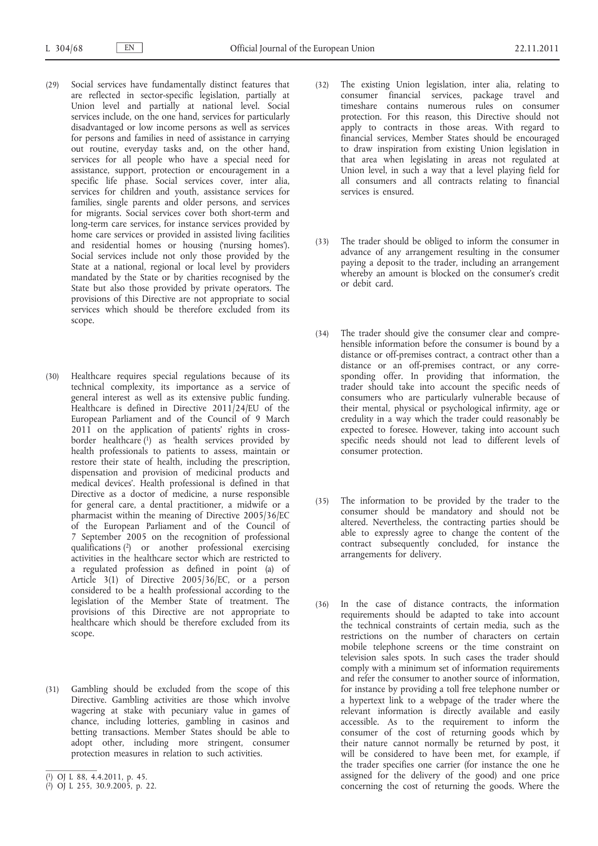- (29) Social services have fundamentally distinct features that are reflected in sector-specific legislation, partially at Union level and partially at national level. Social services include, on the one hand, services for particularly disadvantaged or low income persons as well as services for persons and families in need of assistance in carrying out routine, everyday tasks and, on the other hand, services for all people who have a special need for assistance, support, protection or encouragement in a specific life phase. Social services cover, inter alia, services for children and youth, assistance services for families, single parents and older persons, and services for migrants. Social services cover both short-term and long-term care services, for instance services provided by home care services or provided in assisted living facilities and residential homes or housing ('nursing homes'). Social services include not only those provided by the State at a national, regional or local level by providers mandated by the State or by charities recognised by the State but also those provided by private operators. The provisions of this Directive are not appropriate to social services which should be therefore excluded from its scope.
- (30) Healthcare requires special regulations because of its technical complexity, its importance as a service of general interest as well as its extensive public funding. Healthcare is defined in Directive 2011/24/EU of the European Parliament and of the Council of 9 March 2011 on the application of patients' rights in crossborder healthcare<sup>(1)</sup> as 'health services<sup>'</sup> provided by health professionals to patients to assess, maintain or restore their state of health, including the prescription, dispensation and provision of medicinal products and medical devices'. Health professional is defined in that Directive as a doctor of medicine, a nurse responsible for general care, a dental practitioner, a midwife or a pharmacist within the meaning of Directive 2005/36/EC of the European Parliament and of the Council of 7 September 2005 on the recognition of professional qualifications (2) or another professional exercising activities in the healthcare sector which are restricted to a regulated profession as defined in point (a) of Article 3(1) of Directive  $2005/36/EC$ , or a person considered to be a health professional according to the legislation of the Member State of treatment. The provisions of this Directive are not appropriate to healthcare which should be therefore excluded from its scope.
- (31) Gambling should be excluded from the scope of this Directive. Gambling activities are those which involve wagering at stake with pecuniary value in games of chance, including lotteries, gambling in casinos and betting transactions. Member States should be able to adopt other, including more stringent, consumer protection measures in relation to such activities.
- (32) The existing Union legislation, inter alia, relating to consumer financial services, package travel and timeshare contains numerous rules on consumer protection. For this reason, this Directive should not apply to contracts in those areas. With regard to financial services, Member States should be encouraged to draw inspiration from existing Union legislation in that area when legislating in areas not regulated at Union level, in such a way that a level playing field for all consumers and all contracts relating to financial services is ensured.
- (33) The trader should be obliged to inform the consumer in advance of any arrangement resulting in the consumer paying a deposit to the trader, including an arrangement whereby an amount is blocked on the consumer's credit or debit card.
- (34) The trader should give the consumer clear and comprehensible information before the consumer is bound by a distance or off-premises contract, a contract other than a distance or an off-premises contract, or any corresponding offer. In providing that information, the trader should take into account the specific needs of consumers who are particularly vulnerable because of their mental, physical or psychological infirmity, age or credulity in a way which the trader could reasonably be expected to foresee. However, taking into account such specific needs should not lead to different levels of consumer protection.
- (35) The information to be provided by the trader to the consumer should be mandatory and should not be altered. Nevertheless, the contracting parties should be able to expressly agree to change the content of the contract subsequently concluded, for instance the arrangements for delivery.
- (36) In the case of distance contracts, the information requirements should be adapted to take into account the technical constraints of certain media, such as the restrictions on the number of characters on certain mobile telephone screens or the time constraint on television sales spots. In such cases the trader should comply with a minimum set of information requirements and refer the consumer to another source of information, for instance by providing a toll free telephone number or a hypertext link to a webpage of the trader where the relevant information is directly available and easily accessible. As to the requirement to inform the consumer of the cost of returning goods which by their nature cannot normally be returned by post, it will be considered to have been met, for example, if the trader specifies one carrier (for instance the one he assigned for the delivery of the good) and one price concerning the cost of returning the goods. Where the

<sup>(</sup> 1) OJ L 88, 4.4.2011, p. 45.

<sup>(</sup> 2) OJ L 255, 30.9.2005, p. 22.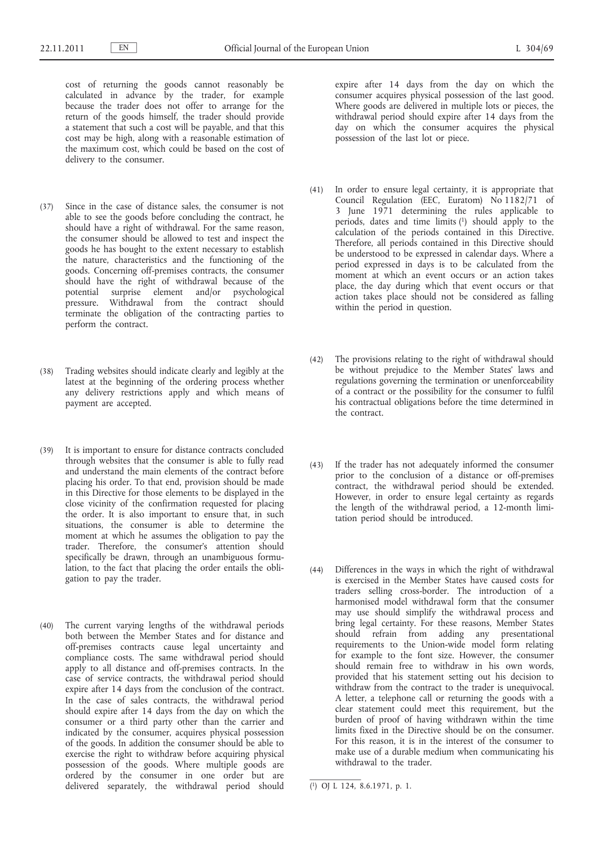cost of returning the goods cannot reasonably be calculated in advance by the trader, for example because the trader does not offer to arrange for the return of the goods himself, the trader should provide a statement that such a cost will be payable, and that this cost may be high, along with a reasonable estimation of the maximum cost, which could be based on the cost of delivery to the consumer.

- (37) Since in the case of distance sales, the consumer is not able to see the goods before concluding the contract, he should have a right of withdrawal. For the same reason, the consumer should be allowed to test and inspect the goods he has bought to the extent necessary to establish the nature, characteristics and the functioning of the goods. Concerning off-premises contracts, the consumer should have the right of withdrawal because of the potential surprise element and/or psychological pressure. Withdrawal from the contract should terminate the obligation of the contracting parties to perform the contract.
- (38) Trading websites should indicate clearly and legibly at the latest at the beginning of the ordering process whether any delivery restrictions apply and which means of payment are accepted.
- (39) It is important to ensure for distance contracts concluded through websites that the consumer is able to fully read and understand the main elements of the contract before placing his order. To that end, provision should be made in this Directive for those elements to be displayed in the close vicinity of the confirmation requested for placing the order. It is also important to ensure that, in such situations, the consumer is able to determine the moment at which he assumes the obligation to pay the trader. Therefore, the consumer's attention should specifically be drawn, through an unambiguous formulation, to the fact that placing the order entails the obligation to pay the trader.
- (40) The current varying lengths of the withdrawal periods both between the Member States and for distance and off-premises contracts cause legal uncertainty and compliance costs. The same withdrawal period should apply to all distance and off-premises contracts. In the case of service contracts, the withdrawal period should expire after 14 days from the conclusion of the contract. In the case of sales contracts, the withdrawal period should expire after 14 days from the day on which the consumer or a third party other than the carrier and indicated by the consumer, acquires physical possession of the goods. In addition the consumer should be able to exercise the right to withdraw before acquiring physical possession of the goods. Where multiple goods are ordered by the consumer in one order but are delivered separately, the withdrawal period should

expire after 14 days from the day on which the consumer acquires physical possession of the last good. Where goods are delivered in multiple lots or pieces, the withdrawal period should expire after 14 days from the day on which the consumer acquires the physical possession of the last lot or piece.

- (41) In order to ensure legal certainty, it is appropriate that Council Regulation (EEC, Euratom) No 1182/71 of 3 June 1971 determining the rules applicable to periods, dates and time limits (1) should apply to the calculation of the periods contained in this Directive. Therefore, all periods contained in this Directive should be understood to be expressed in calendar days. Where a period expressed in days is to be calculated from the moment at which an event occurs or an action takes place, the day during which that event occurs or that action takes place should not be considered as falling within the period in question.
- (42) The provisions relating to the right of withdrawal should be without prejudice to the Member States' laws and regulations governing the termination or unenforceability of a contract or the possibility for the consumer to fulfil his contractual obligations before the time determined in the contract.
- (43) If the trader has not adequately informed the consumer prior to the conclusion of a distance or off-premises contract, the withdrawal period should be extended. However, in order to ensure legal certainty as regards the length of the withdrawal period, a 12-month limitation period should be introduced.
- (44) Differences in the ways in which the right of withdrawal is exercised in the Member States have caused costs for traders selling cross-border. The introduction of a harmonised model withdrawal form that the consumer may use should simplify the withdrawal process and bring legal certainty. For these reasons, Member States should refrain from adding any presentational requirements to the Union-wide model form relating for example to the font size. However, the consumer should remain free to withdraw in his own words, provided that his statement setting out his decision to withdraw from the contract to the trader is unequivocal. A letter, a telephone call or returning the goods with a clear statement could meet this requirement, but the burden of proof of having withdrawn within the time limits fixed in the Directive should be on the consumer. For this reason, it is in the interest of the consumer to make use of a durable medium when communicating his withdrawal to the trader.

<sup>(</sup> 1) OJ L 124, 8.6.1971, p. 1.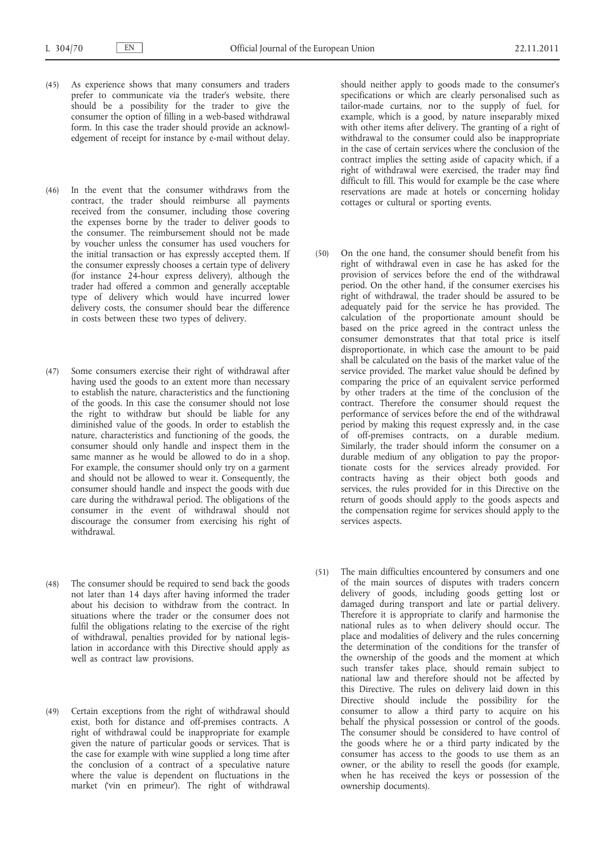- (45) As experience shows that many consumers and traders prefer to communicate via the trader's website, there should be a possibility for the trader to give the consumer the option of filling in a web-based withdrawal form. In this case the trader should provide an acknowledgement of receipt for instance by e-mail without delay.
- (46) In the event that the consumer withdraws from the contract, the trader should reimburse all payments received from the consumer, including those covering the expenses borne by the trader to deliver goods to the consumer. The reimbursement should not be made by voucher unless the consumer has used vouchers for the initial transaction or has expressly accepted them. If the consumer expressly chooses a certain type of delivery (for instance 24-hour express delivery), although the trader had offered a common and generally acceptable type of delivery which would have incurred lower delivery costs, the consumer should bear the difference in costs between these two types of delivery.
- (47) Some consumers exercise their right of withdrawal after having used the goods to an extent more than necessary to establish the nature, characteristics and the functioning of the goods. In this case the consumer should not lose the right to withdraw but should be liable for any diminished value of the goods. In order to establish the nature, characteristics and functioning of the goods, the consumer should only handle and inspect them in the same manner as he would be allowed to do in a shop. For example, the consumer should only try on a garment and should not be allowed to wear it. Consequently, the consumer should handle and inspect the goods with due care during the withdrawal period. The obligations of the consumer in the event of withdrawal should not discourage the consumer from exercising his right of withdrawal.
- (48) The consumer should be required to send back the goods not later than 14 days after having informed the trader about his decision to withdraw from the contract. In situations where the trader or the consumer does not fulfil the obligations relating to the exercise of the right of withdrawal, penalties provided for by national legislation in accordance with this Directive should apply as well as contract law provisions.
- (49) Certain exceptions from the right of withdrawal should exist, both for distance and off-premises contracts. A right of withdrawal could be inappropriate for example given the nature of particular goods or services. That is the case for example with wine supplied a long time after the conclusion of a contract of a speculative nature where the value is dependent on fluctuations in the market ('vin en primeur'). The right of withdrawal

should neither apply to goods made to the consumer's specifications or which are clearly personalised such as tailor-made curtains, nor to the supply of fuel, for example, which is a good, by nature inseparably mixed with other items after delivery. The granting of a right of withdrawal to the consumer could also be inappropriate in the case of certain services where the conclusion of the contract implies the setting aside of capacity which, if a right of withdrawal were exercised, the trader may find difficult to fill. This would for example be the case where reservations are made at hotels or concerning holiday cottages or cultural or sporting events.

- (50) On the one hand, the consumer should benefit from his right of withdrawal even in case he has asked for the provision of services before the end of the withdrawal period. On the other hand, if the consumer exercises his right of withdrawal, the trader should be assured to be adequately paid for the service he has provided. The calculation of the proportionate amount should be based on the price agreed in the contract unless the consumer demonstrates that that total price is itself disproportionate, in which case the amount to be paid shall be calculated on the basis of the market value of the service provided. The market value should be defined by comparing the price of an equivalent service performed by other traders at the time of the conclusion of the contract. Therefore the consumer should request the performance of services before the end of the withdrawal period by making this request expressly and, in the case of off-premises contracts, on a durable medium. Similarly, the trader should inform the consumer on a durable medium of any obligation to pay the proportionate costs for the services already provided. For contracts having as their object both goods and services, the rules provided for in this Directive on the return of goods should apply to the goods aspects and the compensation regime for services should apply to the services aspects.
- (51) The main difficulties encountered by consumers and one of the main sources of disputes with traders concern delivery of goods, including goods getting lost or damaged during transport and late or partial delivery. Therefore it is appropriate to clarify and harmonise the national rules as to when delivery should occur. The place and modalities of delivery and the rules concerning the determination of the conditions for the transfer of the ownership of the goods and the moment at which such transfer takes place, should remain subject to national law and therefore should not be affected by this Directive. The rules on delivery laid down in this Directive should include the possibility for the consumer to allow a third party to acquire on his behalf the physical possession or control of the goods. The consumer should be considered to have control of the goods where he or a third party indicated by the consumer has access to the goods to use them as an owner, or the ability to resell the goods (for example, when he has received the keys or possession of the ownership documents).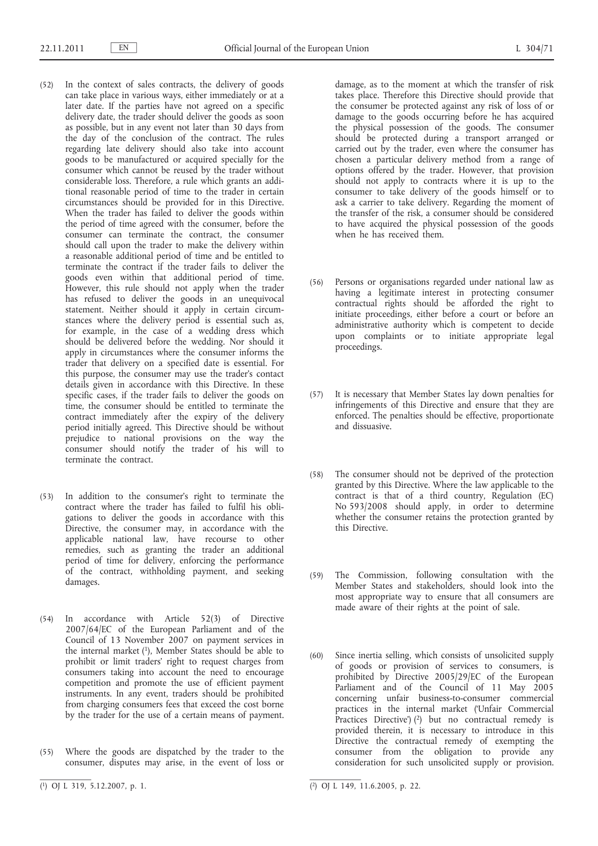- (52) In the context of sales contracts, the delivery of goods can take place in various ways, either immediately or at a later date. If the parties have not agreed on a specific delivery date, the trader should deliver the goods as soon as possible, but in any event not later than 30 days from the day of the conclusion of the contract. The rules regarding late delivery should also take into account goods to be manufactured or acquired specially for the consumer which cannot be reused by the trader without considerable loss. Therefore, a rule which grants an additional reasonable period of time to the trader in certain circumstances should be provided for in this Directive. When the trader has failed to deliver the goods within the period of time agreed with the consumer, before the consumer can terminate the contract, the consumer should call upon the trader to make the delivery within a reasonable additional period of time and be entitled to terminate the contract if the trader fails to deliver the goods even within that additional period of time. However, this rule should not apply when the trader has refused to deliver the goods in an unequivocal statement. Neither should it apply in certain circumstances where the delivery period is essential such as, for example, in the case of a wedding dress which should be delivered before the wedding. Nor should it apply in circumstances where the consumer informs the trader that delivery on a specified date is essential. For this purpose, the consumer may use the trader's contact details given in accordance with this Directive. In these specific cases, if the trader fails to deliver the goods on time, the consumer should be entitled to terminate the contract immediately after the expiry of the delivery period initially agreed. This Directive should be without prejudice to national provisions on the way the consumer should notify the trader of his will to terminate the contract.
- (53) In addition to the consumer's right to terminate the contract where the trader has failed to fulfil his obligations to deliver the goods in accordance with this Directive, the consumer may, in accordance with the applicable national law, have recourse to other remedies, such as granting the trader an additional period of time for delivery, enforcing the performance of the contract, withholding payment, and seeking damages.
- (54) In accordance with Article 52(3) of Directive 2007/64/EC of the European Parliament and of the Council of 13 November 2007 on payment services in the internal market (1), Member States should be able to prohibit or limit traders' right to request charges from consumers taking into account the need to encourage competition and promote the use of efficient payment instruments. In any event, traders should be prohibited from charging consumers fees that exceed the cost borne by the trader for the use of a certain means of payment.
- (55) Where the goods are dispatched by the trader to the consumer, disputes may arise, in the event of loss or
- (56) Persons or organisations regarded under national law as having a legitimate interest in protecting consumer contractual rights should be afforded the right to initiate proceedings, either before a court or before an administrative authority which is competent to decide upon complaints or to initiate appropriate legal proceedings.
- (57) It is necessary that Member States lay down penalties for infringements of this Directive and ensure that they are enforced. The penalties should be effective, proportionate and dissuasive.
- (58) The consumer should not be deprived of the protection granted by this Directive. Where the law applicable to the contract is that of a third country, Regulation (EC) No 593/2008 should apply, in order to determine whether the consumer retains the protection granted by this Directive.
- (59) The Commission, following consultation with the Member States and stakeholders, should look into the most appropriate way to ensure that all consumers are made aware of their rights at the point of sale.
- (60) Since inertia selling, which consists of unsolicited supply of goods or provision of services to consumers, is prohibited by Directive 2005/29/EC of the European Parliament and of the Council of 11 May 2005 concerning unfair business-to-consumer commercial practices in the internal market ('Unfair Commercial Practices Directive') ( $2$ ) but no contractual remedy is provided therein, it is necessary to introduce in this Directive the contractual remedy of exempting the consumer from the obligation to provide any consideration for such unsolicited supply or provision.

damage, as to the moment at which the transfer of risk takes place. Therefore this Directive should provide that the consumer be protected against any risk of loss of or damage to the goods occurring before he has acquired the physical possession of the goods. The consumer should be protected during a transport arranged or carried out by the trader, even where the consumer has chosen a particular delivery method from a range of options offered by the trader. However, that provision should not apply to contracts where it is up to the consumer to take delivery of the goods himself or to ask a carrier to take delivery. Regarding the moment of the transfer of the risk, a consumer should be considered to have acquired the physical possession of the goods when he has received them.

 $(1)$  OJ L 319, 5.12.2007, p. 1.

 $\overline{(^2)}$  OJ L 149, 11.6.2005, p. 22.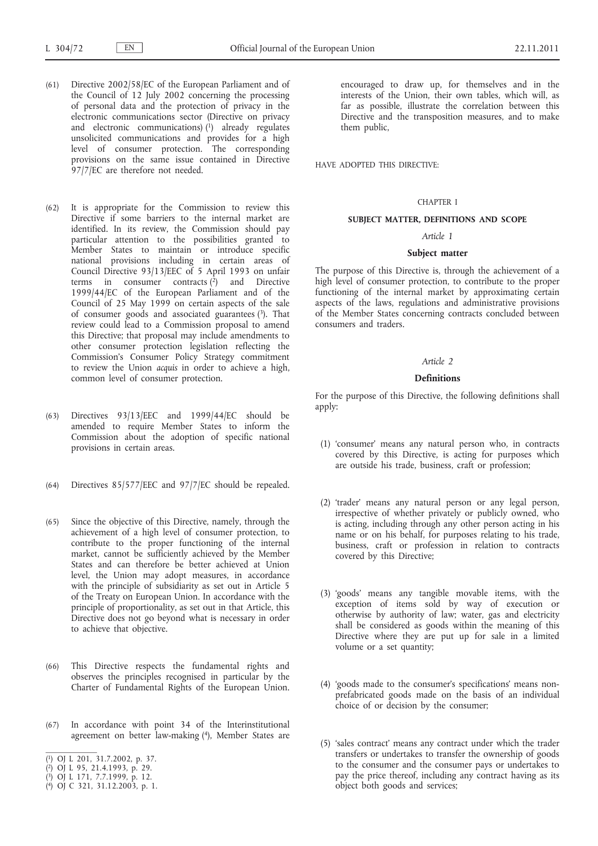- (61) Directive 2002/58/EC of the European Parliament and of the Council of 12 July 2002 concerning the processing of personal data and the protection of privacy in the electronic communications sector (Directive on privacy and electronic communications) $(1)$  already regulates unsolicited communications and provides for a high level of consumer protection. The corresponding provisions on the same issue contained in Directive 97/7/EC are therefore not needed.
- (62) It is appropriate for the Commission to review this Directive if some barriers to the internal market are identified. In its review, the Commission should pay particular attention to the possibilities granted to Member States to maintain or introduce specific national provisions including in certain areas of Council Directive 93/13/EEC of 5 April 1993 on unfair terms in consumer contracts  $(2)$  and Directive 1999/44/EC of the European Parliament and of the Council of 25 May 1999 on certain aspects of the sale of consumer goods and associated guarantees  $(3)$ . That review could lead to a Commission proposal to amend this Directive; that proposal may include amendments to other consumer protection legislation reflecting the Commission's Consumer Policy Strategy commitment to review the Union *acquis* in order to achieve a high, common level of consumer protection.
- (63) Directives 93/13/EEC and 1999/44/EC should be amended to require Member States to inform the Commission about the adoption of specific national provisions in certain areas.
- (64) Directives 85/577/EEC and 97/7/EC should be repealed.
- (65) Since the objective of this Directive, namely, through the achievement of a high level of consumer protection, to contribute to the proper functioning of the internal market, cannot be sufficiently achieved by the Member States and can therefore be better achieved at Union level, the Union may adopt measures, in accordance with the principle of subsidiarity as set out in Article 5 of the Treaty on European Union. In accordance with the principle of proportionality, as set out in that Article, this Directive does not go beyond what is necessary in order to achieve that objective.
- (66) This Directive respects the fundamental rights and observes the principles recognised in particular by the Charter of Fundamental Rights of the European Union.
- (67) In accordance with point 34 of the Interinstitutional agreement on better law-making (4), Member States are
- ( 1) OJ L 201, 31.7.2002, p. 37.
- ( 2) OJ L 95, 21.4.1993, p. 29.
- ( 3) OJ L 171, 7.7.1999, p. 12.
- ( 4) OJ C 321, 31.12.2003, p. 1.

encouraged to draw up, for themselves and in the interests of the Union, their own tables, which will, as far as possible, illustrate the correlation between this Directive and the transposition measures, and to make them public,

HAVE ADOPTED THIS DIRECTIVE:

### CHAPTER I

#### **SUBJECT MATTER, DEFINITIONS AND SCOPE**

## *Article 1*

#### **Subject matter**

The purpose of this Directive is, through the achievement of a high level of consumer protection, to contribute to the proper functioning of the internal market by approximating certain aspects of the laws, regulations and administrative provisions of the Member States concerning contracts concluded between consumers and traders.

#### *Article 2*

## **Definitions**

For the purpose of this Directive, the following definitions shall apply:

- (1) 'consumer' means any natural person who, in contracts covered by this Directive, is acting for purposes which are outside his trade, business, craft or profession;
- (2) 'trader' means any natural person or any legal person, irrespective of whether privately or publicly owned, who is acting, including through any other person acting in his name or on his behalf, for purposes relating to his trade, business, craft or profession in relation to contracts covered by this Directive;
- (3) 'goods' means any tangible movable items, with the exception of items sold by way of execution or otherwise by authority of law; water, gas and electricity shall be considered as goods within the meaning of this Directive where they are put up for sale in a limited volume or a set quantity;
- (4) 'goods made to the consumer's specifications' means nonprefabricated goods made on the basis of an individual choice of or decision by the consumer;
- (5) 'sales contract' means any contract under which the trader transfers or undertakes to transfer the ownership of goods to the consumer and the consumer pays or undertakes to pay the price thereof, including any contract having as its object both goods and services;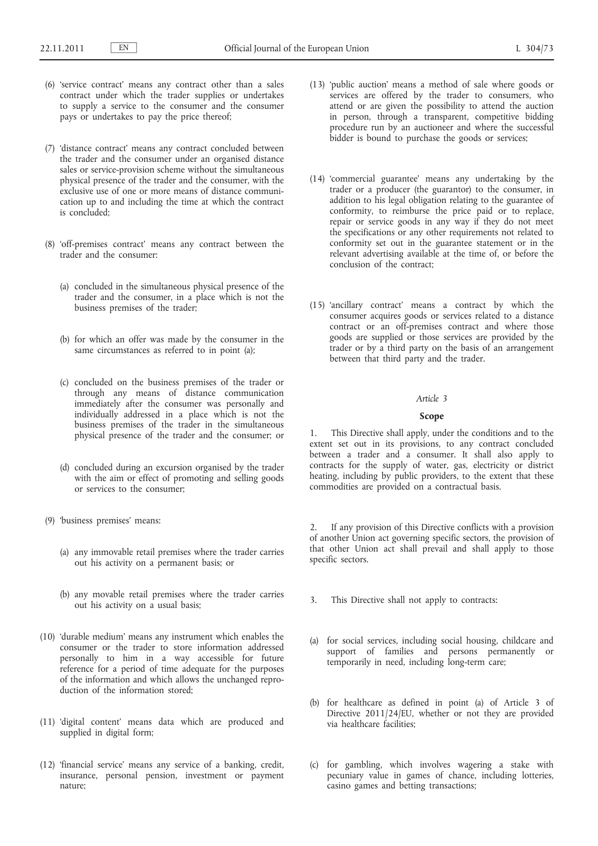- (6) 'service contract' means any contract other than a sales contract under which the trader supplies or undertakes to supply a service to the consumer and the consumer pays or undertakes to pay the price thereof;
- (7) 'distance contract' means any contract concluded between the trader and the consumer under an organised distance sales or service-provision scheme without the simultaneous physical presence of the trader and the consumer, with the exclusive use of one or more means of distance communication up to and including the time at which the contract is concluded;
- (8) 'off-premises contract' means any contract between the trader and the consumer:
	- (a) concluded in the simultaneous physical presence of the trader and the consumer, in a place which is not the business premises of the trader;
	- (b) for which an offer was made by the consumer in the same circumstances as referred to in point (a);
	- (c) concluded on the business premises of the trader or through any means of distance communication immediately after the consumer was personally and individually addressed in a place which is not the business premises of the trader in the simultaneous physical presence of the trader and the consumer; or
	- (d) concluded during an excursion organised by the trader with the aim or effect of promoting and selling goods or services to the consumer;
- (9) 'business premises' means:
	- (a) any immovable retail premises where the trader carries out his activity on a permanent basis; or
	- (b) any movable retail premises where the trader carries out his activity on a usual basis;
- (10) 'durable medium' means any instrument which enables the consumer or the trader to store information addressed personally to him in a way accessible for future reference for a period of time adequate for the purposes of the information and which allows the unchanged reproduction of the information stored;
- (11) 'digital content' means data which are produced and supplied in digital form;
- (12) 'financial service' means any service of a banking, credit, insurance, personal pension, investment or payment nature;
- (13) 'public auction' means a method of sale where goods or services are offered by the trader to consumers, who attend or are given the possibility to attend the auction in person, through a transparent, competitive bidding procedure run by an auctioneer and where the successful bidder is bound to purchase the goods or services;
- (14) 'commercial guarantee' means any undertaking by the trader or a producer (the guarantor) to the consumer, in addition to his legal obligation relating to the guarantee of conformity, to reimburse the price paid or to replace, repair or service goods in any way if they do not meet the specifications or any other requirements not related to conformity set out in the guarantee statement or in the relevant advertising available at the time of, or before the conclusion of the contract;
- (15) 'ancillary contract' means a contract by which the consumer acquires goods or services related to a distance contract or an off-premises contract and where those goods are supplied or those services are provided by the trader or by a third party on the basis of an arrangement between that third party and the trader.

#### *Article 3*

#### **Scope**

This Directive shall apply, under the conditions and to the extent set out in its provisions, to any contract concluded between a trader and a consumer. It shall also apply to contracts for the supply of water, gas, electricity or district heating, including by public providers, to the extent that these commodities are provided on a contractual basis.

2. If any provision of this Directive conflicts with a provision of another Union act governing specific sectors, the provision of that other Union act shall prevail and shall apply to those specific sectors.

- 3. This Directive shall not apply to contracts:
- (a) for social services, including social housing, childcare and support of families and persons permanently or temporarily in need, including long-term care;
- (b) for healthcare as defined in point (a) of Article 3 of Directive 2011/24/EU, whether or not they are provided via healthcare facilities;
- (c) for gambling, which involves wagering a stake with pecuniary value in games of chance, including lotteries, casino games and betting transactions;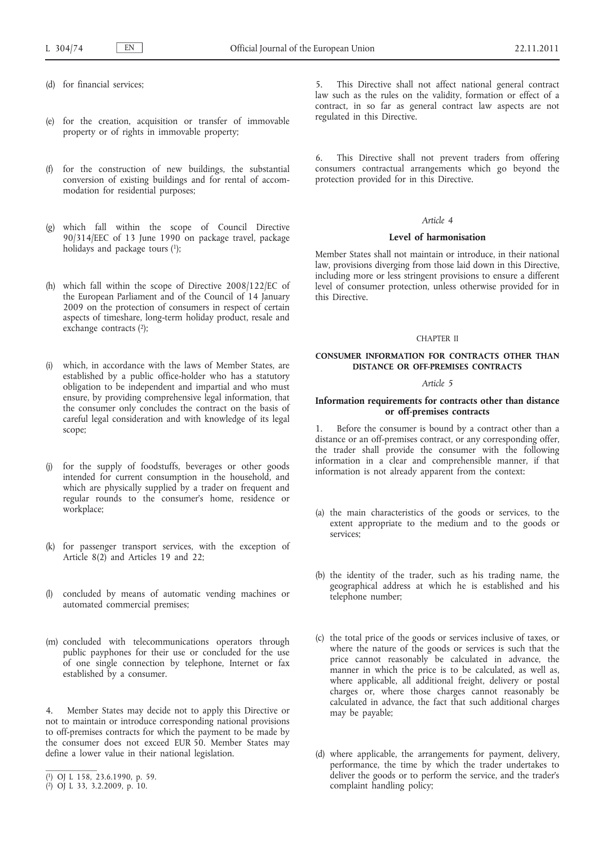- (d) for financial services;
- (e) for the creation, acquisition or transfer of immovable property or of rights in immovable property;
- (f) for the construction of new buildings, the substantial conversion of existing buildings and for rental of accommodation for residential purposes;
- (g) which fall within the scope of Council Directive 90/314/EEC of 13 June 1990 on package travel, package holidays and package tours (1);
- (h) which fall within the scope of Directive 2008/122/EC of the European Parliament and of the Council of 14 January 2009 on the protection of consumers in respect of certain aspects of timeshare, long-term holiday product, resale and exchange contracts (2);
- (i) which, in accordance with the laws of Member States, are established by a public office-holder who has a statutory obligation to be independent and impartial and who must ensure, by providing comprehensive legal information, that the consumer only concludes the contract on the basis of careful legal consideration and with knowledge of its legal scope;
- (j) for the supply of foodstuffs, beverages or other goods intended for current consumption in the household, and which are physically supplied by a trader on frequent and regular rounds to the consumer's home, residence or workplace;
- (k) for passenger transport services, with the exception of Article 8(2) and Articles 19 and 22;
- concluded by means of automatic vending machines or automated commercial premises;
- (m) concluded with telecommunications operators through public payphones for their use or concluded for the use of one single connection by telephone, Internet or fax established by a consumer.

4. Member States may decide not to apply this Directive or not to maintain or introduce corresponding national provisions to off-premises contracts for which the payment to be made by the consumer does not exceed EUR 50. Member States may define a lower value in their national legislation.

This Directive shall not affect national general contract law such as the rules on the validity, formation or effect of a contract, in so far as general contract law aspects are not regulated in this Directive.

6. This Directive shall not prevent traders from offering consumers contractual arrangements which go beyond the protection provided for in this Directive.

## *Article 4*

## **Level of harmonisation**

Member States shall not maintain or introduce, in their national law, provisions diverging from those laid down in this Directive, including more or less stringent provisions to ensure a different level of consumer protection, unless otherwise provided for in this Directive.

## CHAPTER II

## **CONSUMER INFORMATION FOR CONTRACTS OTHER THAN DISTANCE OR OFF-PREMISES CONTRACTS**

#### *Article 5*

## **Information requirements for contracts other than distance or off-premises contracts**

1. Before the consumer is bound by a contract other than a distance or an off-premises contract, or any corresponding offer, the trader shall provide the consumer with the following information in a clear and comprehensible manner, if that information is not already apparent from the context:

- (a) the main characteristics of the goods or services, to the extent appropriate to the medium and to the goods or services;
- (b) the identity of the trader, such as his trading name, the geographical address at which he is established and his telephone number;
- (c) the total price of the goods or services inclusive of taxes, or where the nature of the goods or services is such that the price cannot reasonably be calculated in advance, the manner in which the price is to be calculated, as well as, where applicable, all additional freight, delivery or postal charges or, where those charges cannot reasonably be calculated in advance, the fact that such additional charges may be payable;
- (d) where applicable, the arrangements for payment, delivery, performance, the time by which the trader undertakes to deliver the goods or to perform the service, and the trader's complaint handling policy;

<sup>(</sup> 1) OJ L 158, 23.6.1990, p. 59.

<sup>(</sup> 2) OJ L 33, 3.2.2009, p. 10.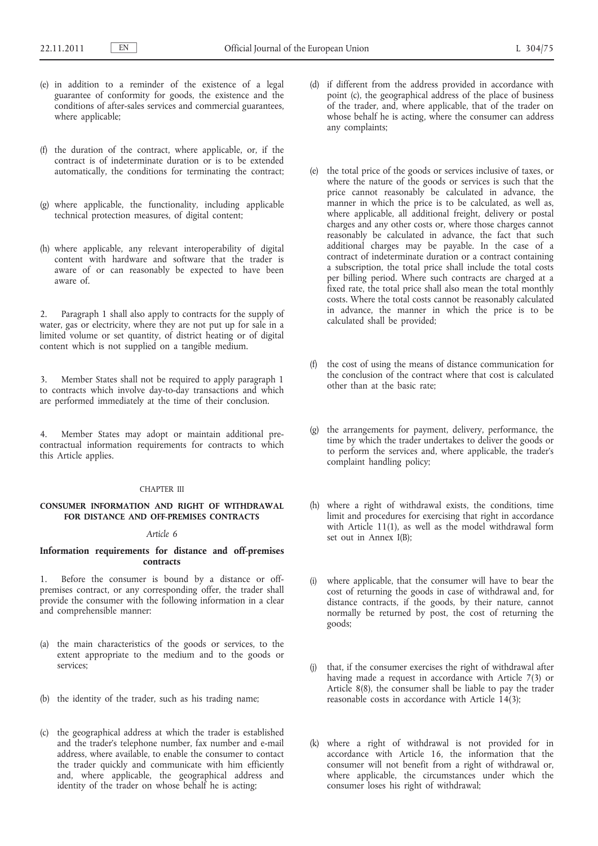- (e) in addition to a reminder of the existence of a legal guarantee of conformity for goods, the existence and the conditions of after-sales services and commercial guarantees, where applicable;
- (f) the duration of the contract, where applicable, or, if the contract is of indeterminate duration or is to be extended automatically, the conditions for terminating the contract;
- (g) where applicable, the functionality, including applicable technical protection measures, of digital content;
- (h) where applicable, any relevant interoperability of digital content with hardware and software that the trader is aware of or can reasonably be expected to have been aware of.

2. Paragraph 1 shall also apply to contracts for the supply of water, gas or electricity, where they are not put up for sale in a limited volume or set quantity, of district heating or of digital content which is not supplied on a tangible medium.

3. Member States shall not be required to apply paragraph 1 to contracts which involve day-to-day transactions and which are performed immediately at the time of their conclusion.

4. Member States may adopt or maintain additional precontractual information requirements for contracts to which this Article applies.

## CHAPTER III

## **CONSUMER INFORMATION AND RIGHT OF WITHDRAWAL FOR DISTANCE AND OFF-PREMISES CONTRACTS**

## *Article 6*

#### **Information requirements for distance and off-premises contracts**

1. Before the consumer is bound by a distance or offpremises contract, or any corresponding offer, the trader shall provide the consumer with the following information in a clear and comprehensible manner:

- (a) the main characteristics of the goods or services, to the extent appropriate to the medium and to the goods or services;
- (b) the identity of the trader, such as his trading name;
- (c) the geographical address at which the trader is established and the trader's telephone number, fax number and e-mail address, where available, to enable the consumer to contact the trader quickly and communicate with him efficiently and, where applicable, the geographical address and identity of the trader on whose behalf he is acting;
- (d) if different from the address provided in accordance with point (c), the geographical address of the place of business of the trader, and, where applicable, that of the trader on whose behalf he is acting, where the consumer can address any complaints;
- (e) the total price of the goods or services inclusive of taxes, or where the nature of the goods or services is such that the price cannot reasonably be calculated in advance, the manner in which the price is to be calculated, as well as, where applicable, all additional freight, delivery or postal charges and any other costs or, where those charges cannot reasonably be calculated in advance, the fact that such additional charges may be payable. In the case of a contract of indeterminate duration or a contract containing a subscription, the total price shall include the total costs per billing period. Where such contracts are charged at a fixed rate, the total price shall also mean the total monthly costs. Where the total costs cannot be reasonably calculated in advance, the manner in which the price is to be calculated shall be provided;
- (f) the cost of using the means of distance communication for the conclusion of the contract where that cost is calculated other than at the basic rate;
- (g) the arrangements for payment, delivery, performance, the time by which the trader undertakes to deliver the goods or to perform the services and, where applicable, the trader's complaint handling policy;
- (h) where a right of withdrawal exists, the conditions, time limit and procedures for exercising that right in accordance with Article 11(1), as well as the model withdrawal form set out in Annex I(B);
- (i) where applicable, that the consumer will have to bear the cost of returning the goods in case of withdrawal and, for distance contracts, if the goods, by their nature, cannot normally be returned by post, the cost of returning the goods;
- that, if the consumer exercises the right of withdrawal after having made a request in accordance with Article 7(3) or Article 8(8), the consumer shall be liable to pay the trader reasonable costs in accordance with Article  $14(3)$ ;
- (k) where a right of withdrawal is not provided for in accordance with Article 16, the information that the consumer will not benefit from a right of withdrawal or, where applicable, the circumstances under which the consumer loses his right of withdrawal;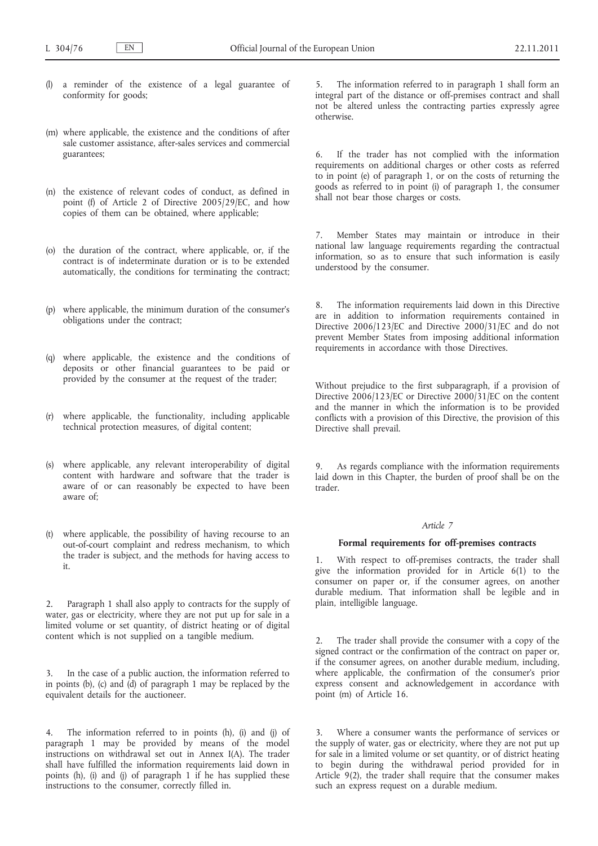- (l) a reminder of the existence of a legal guarantee of conformity for goods;
- (m) where applicable, the existence and the conditions of after sale customer assistance, after-sales services and commercial guarantees;
- (n) the existence of relevant codes of conduct, as defined in point (f) of Article 2 of Directive 2005/29/EC, and how copies of them can be obtained, where applicable;
- (o) the duration of the contract, where applicable, or, if the contract is of indeterminate duration or is to be extended automatically, the conditions for terminating the contract;
- (p) where applicable, the minimum duration of the consumer's obligations under the contract;
- (q) where applicable, the existence and the conditions of deposits or other financial guarantees to be paid or provided by the consumer at the request of the trader;
- (r) where applicable, the functionality, including applicable technical protection measures, of digital content;
- (s) where applicable, any relevant interoperability of digital content with hardware and software that the trader is aware of or can reasonably be expected to have been aware of;
- (t) where applicable, the possibility of having recourse to an out-of-court complaint and redress mechanism, to which the trader is subject, and the methods for having access to it.

2. Paragraph 1 shall also apply to contracts for the supply of water, gas or electricity, where they are not put up for sale in a limited volume or set quantity, of district heating or of digital content which is not supplied on a tangible medium.

In the case of a public auction, the information referred to in points (b), (c) and (d) of paragraph 1 may be replaced by the equivalent details for the auctioneer.

4. The information referred to in points (h), (i) and (j) of paragraph 1 may be provided by means of the model instructions on withdrawal set out in Annex I(A). The trader shall have fulfilled the information requirements laid down in points (h), (i) and (j) of paragraph 1 if he has supplied these instructions to the consumer, correctly filled in.

5. The information referred to in paragraph 1 shall form an integral part of the distance or off-premises contract and shall not be altered unless the contracting parties expressly agree otherwise.

If the trader has not complied with the information requirements on additional charges or other costs as referred to in point (e) of paragraph 1, or on the costs of returning the goods as referred to in point (i) of paragraph 1, the consumer shall not bear those charges or costs.

7. Member States may maintain or introduce in their national law language requirements regarding the contractual information, so as to ensure that such information is easily understood by the consumer.

8. The information requirements laid down in this Directive are in addition to information requirements contained in Directive 2006/123/EC and Directive 2000/31/EC and do not prevent Member States from imposing additional information requirements in accordance with those Directives.

Without prejudice to the first subparagraph, if a provision of Directive 2006/123/EC or Directive 2000/31/EC on the content and the manner in which the information is to be provided conflicts with a provision of this Directive, the provision of this Directive shall prevail.

9. As regards compliance with the information requirements laid down in this Chapter, the burden of proof shall be on the trader.

## *Article 7*

## **Formal requirements for off-premises contracts**

1. With respect to off-premises contracts, the trader shall give the information provided for in Article 6(1) to the consumer on paper or, if the consumer agrees, on another durable medium. That information shall be legible and in plain, intelligible language.

2. The trader shall provide the consumer with a copy of the signed contract or the confirmation of the contract on paper or, if the consumer agrees, on another durable medium, including, where applicable, the confirmation of the consumer's prior express consent and acknowledgement in accordance with point (m) of Article 16.

Where a consumer wants the performance of services or the supply of water, gas or electricity, where they are not put up for sale in a limited volume or set quantity, or of district heating to begin during the withdrawal period provided for in Article 9(2), the trader shall require that the consumer makes such an express request on a durable medium.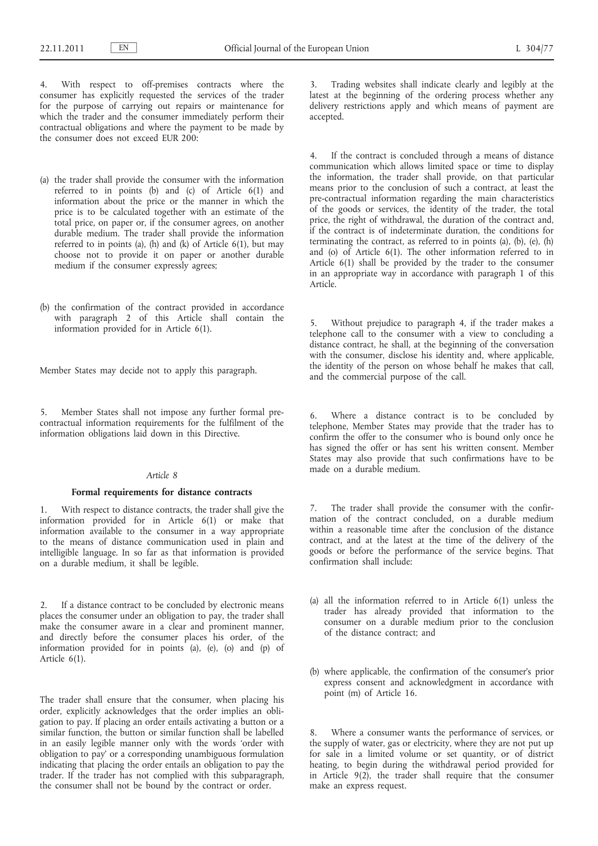4. With respect to off-premises contracts where the consumer has explicitly requested the services of the trader for the purpose of carrying out repairs or maintenance for which the trader and the consumer immediately perform their contractual obligations and where the payment to be made by the consumer does not exceed EUR 200:

- (a) the trader shall provide the consumer with the information referred to in points (b) and (c) of Article 6(1) and information about the price or the manner in which the price is to be calculated together with an estimate of the total price, on paper or, if the consumer agrees, on another durable medium. The trader shall provide the information referred to in points (a), (h) and (k) of Article  $6(1)$ , but may choose not to provide it on paper or another durable medium if the consumer expressly agrees;
- (b) the confirmation of the contract provided in accordance with paragraph 2 of this Article shall contain the information provided for in Article 6(1).

Member States may decide not to apply this paragraph.

5. Member States shall not impose any further formal precontractual information requirements for the fulfilment of the information obligations laid down in this Directive.

#### *Article 8*

#### **Formal requirements for distance contracts**

1. With respect to distance contracts, the trader shall give the information provided for in Article 6(1) or make that information available to the consumer in a way appropriate to the means of distance communication used in plain and intelligible language. In so far as that information is provided on a durable medium, it shall be legible.

2. If a distance contract to be concluded by electronic means places the consumer under an obligation to pay, the trader shall make the consumer aware in a clear and prominent manner, and directly before the consumer places his order, of the information provided for in points (a), (e), (o) and (p) of Article 6(1).

The trader shall ensure that the consumer, when placing his order, explicitly acknowledges that the order implies an obligation to pay. If placing an order entails activating a button or a similar function, the button or similar function shall be labelled in an easily legible manner only with the words 'order with obligation to pay' or a corresponding unambiguous formulation indicating that placing the order entails an obligation to pay the trader. If the trader has not complied with this subparagraph, the consumer shall not be bound by the contract or order.

3. Trading websites shall indicate clearly and legibly at the latest at the beginning of the ordering process whether any delivery restrictions apply and which means of payment are accepted.

4. If the contract is concluded through a means of distance communication which allows limited space or time to display the information, the trader shall provide, on that particular means prior to the conclusion of such a contract, at least the pre-contractual information regarding the main characteristics of the goods or services, the identity of the trader, the total price, the right of withdrawal, the duration of the contract and, if the contract is of indeterminate duration, the conditions for terminating the contract, as referred to in points (a), (b), (e), (h) and (o) of Article 6(1). The other information referred to in Article 6(1) shall be provided by the trader to the consumer in an appropriate way in accordance with paragraph 1 of this Article.

5. Without prejudice to paragraph 4, if the trader makes a telephone call to the consumer with a view to concluding a distance contract, he shall, at the beginning of the conversation with the consumer, disclose his identity and, where applicable, the identity of the person on whose behalf he makes that call, and the commercial purpose of the call.

6. Where a distance contract is to be concluded by telephone, Member States may provide that the trader has to confirm the offer to the consumer who is bound only once he has signed the offer or has sent his written consent. Member States may also provide that such confirmations have to be made on a durable medium.

7. The trader shall provide the consumer with the confirmation of the contract concluded, on a durable medium within a reasonable time after the conclusion of the distance contract, and at the latest at the time of the delivery of the goods or before the performance of the service begins. That confirmation shall include:

- (a) all the information referred to in Article 6(1) unless the trader has already provided that information to the consumer on a durable medium prior to the conclusion of the distance contract; and
- (b) where applicable, the confirmation of the consumer's prior express consent and acknowledgment in accordance with point (m) of Article 16.

Where a consumer wants the performance of services, or the supply of water, gas or electricity, where they are not put up for sale in a limited volume or set quantity, or of district heating, to begin during the withdrawal period provided for in Article 9(2), the trader shall require that the consumer make an express request.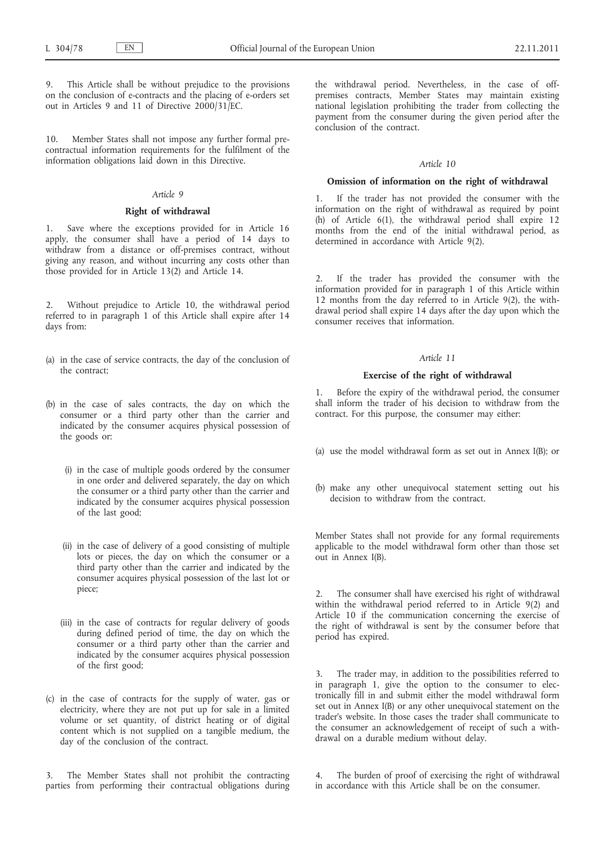This Article shall be without prejudice to the provisions on the conclusion of e-contracts and the placing of e-orders set out in Articles 9 and 11 of Directive 2000/31/EC.

10. Member States shall not impose any further formal precontractual information requirements for the fulfilment of the information obligations laid down in this Directive.

#### *Article 9*

#### **Right of withdrawal**

Save where the exceptions provided for in Article 16 apply, the consumer shall have a period of 14 days to withdraw from a distance or off-premises contract, without giving any reason, and without incurring any costs other than those provided for in Article 13(2) and Article 14.

2. Without prejudice to Article 10, the withdrawal period referred to in paragraph 1 of this Article shall expire after 14 days from:

- (a) in the case of service contracts, the day of the conclusion of the contract;
- (b) in the case of sales contracts, the day on which the consumer or a third party other than the carrier and indicated by the consumer acquires physical possession of the goods or:
	- (i) in the case of multiple goods ordered by the consumer in one order and delivered separately, the day on which the consumer or a third party other than the carrier and indicated by the consumer acquires physical possession of the last good;
	- (ii) in the case of delivery of a good consisting of multiple lots or pieces, the day on which the consumer or a third party other than the carrier and indicated by the consumer acquires physical possession of the last lot or piece;
	- (iii) in the case of contracts for regular delivery of goods during defined period of time, the day on which the consumer or a third party other than the carrier and indicated by the consumer acquires physical possession of the first good;
- (c) in the case of contracts for the supply of water, gas or electricity, where they are not put up for sale in a limited volume or set quantity, of district heating or of digital content which is not supplied on a tangible medium, the day of the conclusion of the contract.

The Member States shall not prohibit the contracting parties from performing their contractual obligations during the withdrawal period. Nevertheless, in the case of offpremises contracts, Member States may maintain existing national legislation prohibiting the trader from collecting the payment from the consumer during the given period after the conclusion of the contract.

## *Article 10*

## **Omission of information on the right of withdrawal**

1. If the trader has not provided the consumer with the information on the right of withdrawal as required by point (h) of Article 6(1), the withdrawal period shall expire 12 months from the end of the initial withdrawal period, as determined in accordance with Article 9(2).

If the trader has provided the consumer with the information provided for in paragraph 1 of this Article within 12 months from the day referred to in Article 9(2), the withdrawal period shall expire 14 days after the day upon which the consumer receives that information.

## *Article 11*

## **Exercise of the right of withdrawal**

1. Before the expiry of the withdrawal period, the consumer shall inform the trader of his decision to withdraw from the contract. For this purpose, the consumer may either:

- (a) use the model withdrawal form as set out in Annex I(B); or
- (b) make any other unequivocal statement setting out his decision to withdraw from the contract.

Member States shall not provide for any formal requirements applicable to the model withdrawal form other than those set out in Annex I(B).

The consumer shall have exercised his right of withdrawal within the withdrawal period referred to in Article 9(2) and Article 10 if the communication concerning the exercise of the right of withdrawal is sent by the consumer before that period has expired.

The trader may, in addition to the possibilities referred to in paragraph 1, give the option to the consumer to electronically fill in and submit either the model withdrawal form set out in Annex I(B) or any other unequivocal statement on the trader's website. In those cases the trader shall communicate to the consumer an acknowledgement of receipt of such a withdrawal on a durable medium without delay.

The burden of proof of exercising the right of withdrawal in accordance with this Article shall be on the consumer.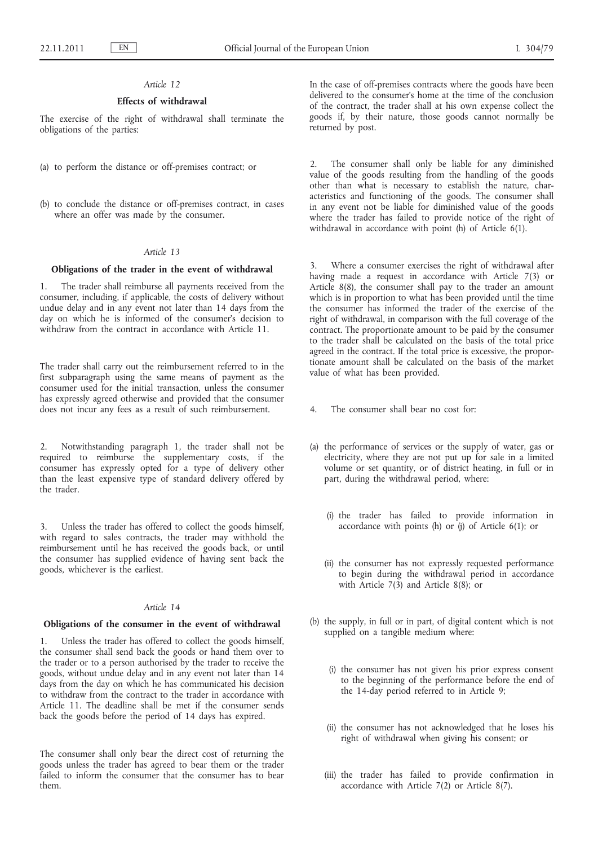## *Article 12*

## **Effects of withdrawal**

The exercise of the right of withdrawal shall terminate the obligations of the parties:

- (a) to perform the distance or off-premises contract; or
- (b) to conclude the distance or off-premises contract, in cases where an offer was made by the consumer.

### *Article 13*

#### **Obligations of the trader in the event of withdrawal**

1. The trader shall reimburse all payments received from the consumer, including, if applicable, the costs of delivery without undue delay and in any event not later than 14 days from the day on which he is informed of the consumer's decision to withdraw from the contract in accordance with Article 11.

The trader shall carry out the reimbursement referred to in the first subparagraph using the same means of payment as the consumer used for the initial transaction, unless the consumer has expressly agreed otherwise and provided that the consumer does not incur any fees as a result of such reimbursement.

2. Notwithstanding paragraph 1, the trader shall not be required to reimburse the supplementary costs, if the consumer has expressly opted for a type of delivery other than the least expensive type of standard delivery offered by the trader.

3. Unless the trader has offered to collect the goods himself, with regard to sales contracts, the trader may withhold the reimbursement until he has received the goods back, or until the consumer has supplied evidence of having sent back the goods, whichever is the earliest.

#### *Article 14*

## **Obligations of the consumer in the event of withdrawal**

1. Unless the trader has offered to collect the goods himself, the consumer shall send back the goods or hand them over to the trader or to a person authorised by the trader to receive the goods, without undue delay and in any event not later than 14 days from the day on which he has communicated his decision to withdraw from the contract to the trader in accordance with Article 11. The deadline shall be met if the consumer sends back the goods before the period of 14 days has expired.

The consumer shall only bear the direct cost of returning the goods unless the trader has agreed to bear them or the trader failed to inform the consumer that the consumer has to bear them.

In the case of off-premises contracts where the goods have been delivered to the consumer's home at the time of the conclusion of the contract, the trader shall at his own expense collect the goods if, by their nature, those goods cannot normally be returned by post.

2. The consumer shall only be liable for any diminished value of the goods resulting from the handling of the goods other than what is necessary to establish the nature, characteristics and functioning of the goods. The consumer shall in any event not be liable for diminished value of the goods where the trader has failed to provide notice of the right of withdrawal in accordance with point (h) of Article 6(1).

3. Where a consumer exercises the right of withdrawal after having made a request in accordance with Article 7(3) or Article 8(8), the consumer shall pay to the trader an amount which is in proportion to what has been provided until the time the consumer has informed the trader of the exercise of the right of withdrawal, in comparison with the full coverage of the contract. The proportionate amount to be paid by the consumer to the trader shall be calculated on the basis of the total price agreed in the contract. If the total price is excessive, the proportionate amount shall be calculated on the basis of the market value of what has been provided.

- 4. The consumer shall bear no cost for:
- (a) the performance of services or the supply of water, gas or electricity, where they are not put up for sale in a limited volume or set quantity, or of district heating, in full or in part, during the withdrawal period, where:
	- (i) the trader has failed to provide information in accordance with points (h) or (j) of Article 6(1); or
	- (ii) the consumer has not expressly requested performance to begin during the withdrawal period in accordance with Article  $7(3)$  and Article 8(8); or
- (b) the supply, in full or in part, of digital content which is not supplied on a tangible medium where:
	- (i) the consumer has not given his prior express consent to the beginning of the performance before the end of the 14-day period referred to in Article 9;
	- (ii) the consumer has not acknowledged that he loses his right of withdrawal when giving his consent; or
	- (iii) the trader has failed to provide confirmation in accordance with Article  $7(2)$  or Article 8(7).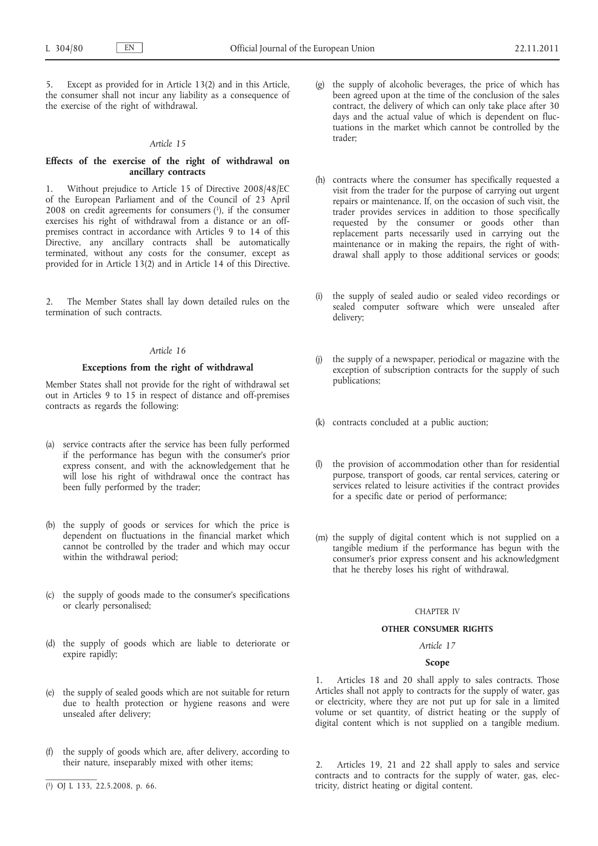5. Except as provided for in Article 13(2) and in this Article, the consumer shall not incur any liability as a consequence of the exercise of the right of withdrawal.

#### *Article 15*

## **Effects of the exercise of the right of withdrawal on ancillary contracts**

1. Without prejudice to Article 15 of Directive 2008/48/EC of the European Parliament and of the Council of 23 April 2008 on credit agreements for consumers  $(1)$ , if the consumer exercises his right of withdrawal from a distance or an offpremises contract in accordance with Articles 9 to 14 of this Directive, any ancillary contracts shall be automatically terminated, without any costs for the consumer, except as provided for in Article 13(2) and in Article 14 of this Directive.

2. The Member States shall lay down detailed rules on the termination of such contracts.

## *Article 16*

## **Exceptions from the right of withdrawal**

Member States shall not provide for the right of withdrawal set out in Articles 9 to 15 in respect of distance and off-premises contracts as regards the following:

- (a) service contracts after the service has been fully performed if the performance has begun with the consumer's prior express consent, and with the acknowledgement that he will lose his right of withdrawal once the contract has been fully performed by the trader;
- (b) the supply of goods or services for which the price is dependent on fluctuations in the financial market which cannot be controlled by the trader and which may occur within the withdrawal period;
- (c) the supply of goods made to the consumer's specifications or clearly personalised;
- (d) the supply of goods which are liable to deteriorate or expire rapidly;
- (e) the supply of sealed goods which are not suitable for return due to health protection or hygiene reasons and were unsealed after delivery;
- (f) the supply of goods which are, after delivery, according to their nature, inseparably mixed with other items;
- ( 1) OJ L 133, 22.5.2008, p. 66.
- (g) the supply of alcoholic beverages, the price of which has been agreed upon at the time of the conclusion of the sales contract, the delivery of which can only take place after 30 days and the actual value of which is dependent on fluctuations in the market which cannot be controlled by the trader;
- (h) contracts where the consumer has specifically requested a visit from the trader for the purpose of carrying out urgent repairs or maintenance. If, on the occasion of such visit, the trader provides services in addition to those specifically requested by the consumer or goods other than replacement parts necessarily used in carrying out the maintenance or in making the repairs, the right of withdrawal shall apply to those additional services or goods;
- (i) the supply of sealed audio or sealed video recordings or sealed computer software which were unsealed after delivery;
- (j) the supply of a newspaper, periodical or magazine with the exception of subscription contracts for the supply of such publications;
- (k) contracts concluded at a public auction;
- (l) the provision of accommodation other than for residential purpose, transport of goods, car rental services, catering or services related to leisure activities if the contract provides for a specific date or period of performance;
- (m) the supply of digital content which is not supplied on a tangible medium if the performance has begun with the consumer's prior express consent and his acknowledgment that he thereby loses his right of withdrawal.

#### CHAPTER IV

#### **OTHER CONSUMER RIGHTS**

## *Article 17*

## **Scope**

1. Articles 18 and 20 shall apply to sales contracts. Those Articles shall not apply to contracts for the supply of water, gas or electricity, where they are not put up for sale in a limited volume or set quantity, of district heating or the supply of digital content which is not supplied on a tangible medium.

2. Articles 19, 21 and 22 shall apply to sales and service contracts and to contracts for the supply of water, gas, electricity, district heating or digital content.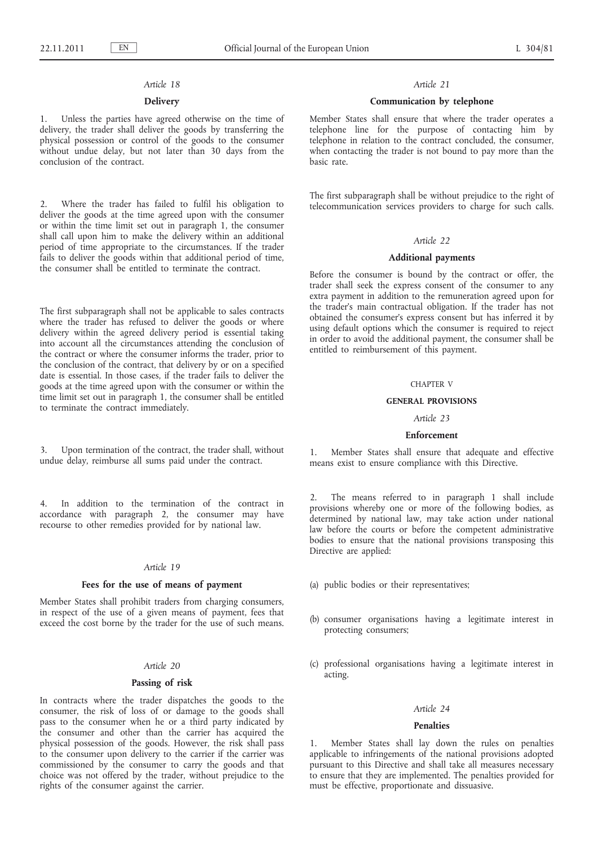#### *Article 18*

### **Delivery**

1. Unless the parties have agreed otherwise on the time of delivery, the trader shall deliver the goods by transferring the physical possession or control of the goods to the consumer without undue delay, but not later than 30 days from the conclusion of the contract.

2. Where the trader has failed to fulfil his obligation to deliver the goods at the time agreed upon with the consumer or within the time limit set out in paragraph 1, the consumer shall call upon him to make the delivery within an additional period of time appropriate to the circumstances. If the trader fails to deliver the goods within that additional period of time, the consumer shall be entitled to terminate the contract.

The first subparagraph shall not be applicable to sales contracts where the trader has refused to deliver the goods or where delivery within the agreed delivery period is essential taking into account all the circumstances attending the conclusion of the contract or where the consumer informs the trader, prior to the conclusion of the contract, that delivery by or on a specified date is essential. In those cases, if the trader fails to deliver the goods at the time agreed upon with the consumer or within the time limit set out in paragraph 1, the consumer shall be entitled to terminate the contract immediately.

Upon termination of the contract, the trader shall, without undue delay, reimburse all sums paid under the contract.

4. In addition to the termination of the contract in accordance with paragraph 2, the consumer may have recourse to other remedies provided for by national law.

### *Article 19*

#### **Fees for the use of means of payment**

Member States shall prohibit traders from charging consumers, in respect of the use of a given means of payment, fees that exceed the cost borne by the trader for the use of such means.

#### *Article 20*

#### **Passing of risk**

In contracts where the trader dispatches the goods to the consumer, the risk of loss of or damage to the goods shall pass to the consumer when he or a third party indicated by the consumer and other than the carrier has acquired the physical possession of the goods. However, the risk shall pass to the consumer upon delivery to the carrier if the carrier was commissioned by the consumer to carry the goods and that choice was not offered by the trader, without prejudice to the rights of the consumer against the carrier.

### *Article 21*

### **Communication by telephone**

Member States shall ensure that where the trader operates a telephone line for the purpose of contacting him by telephone in relation to the contract concluded, the consumer, when contacting the trader is not bound to pay more than the basic rate.

The first subparagraph shall be without prejudice to the right of telecommunication services providers to charge for such calls.

#### *Article 22*

## **Additional payments**

Before the consumer is bound by the contract or offer, the trader shall seek the express consent of the consumer to any extra payment in addition to the remuneration agreed upon for the trader's main contractual obligation. If the trader has not obtained the consumer's express consent but has inferred it by using default options which the consumer is required to reject in order to avoid the additional payment, the consumer shall be entitled to reimbursement of this payment.

#### CHAPTER V

## **GENERAL PROVISIONS**

### *Article 23*

## **Enforcement**

1. Member States shall ensure that adequate and effective means exist to ensure compliance with this Directive.

2. The means referred to in paragraph 1 shall include provisions whereby one or more of the following bodies, as determined by national law, may take action under national law before the courts or before the competent administrative bodies to ensure that the national provisions transposing this Directive are applied:

- (a) public bodies or their representatives;
- (b) consumer organisations having a legitimate interest in protecting consumers;
- (c) professional organisations having a legitimate interest in acting.

## *Article 24*

## **Penalties**

Member States shall lay down the rules on penalties applicable to infringements of the national provisions adopted pursuant to this Directive and shall take all measures necessary to ensure that they are implemented. The penalties provided for must be effective, proportionate and dissuasive.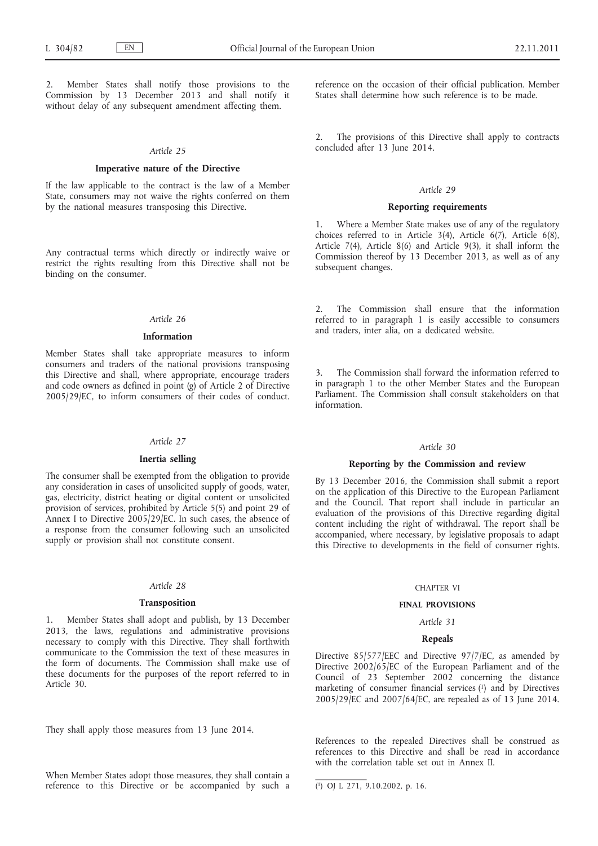2. Member States shall notify those provisions to the Commission by 13 December 2013 and shall notify it without delay of any subsequent amendment affecting them.

#### *Article 25*

#### **Imperative nature of the Directive**

If the law applicable to the contract is the law of a Member State, consumers may not waive the rights conferred on them by the national measures transposing this Directive.

Any contractual terms which directly or indirectly waive or restrict the rights resulting from this Directive shall not be binding on the consumer.

## *Article 26*

#### **Information**

Member States shall take appropriate measures to inform consumers and traders of the national provisions transposing this Directive and shall, where appropriate, encourage traders and code owners as defined in point  $(g)$  of Article 2 of Directive 2005/29/EC, to inform consumers of their codes of conduct.

#### *Article 27*

#### **Inertia selling**

The consumer shall be exempted from the obligation to provide any consideration in cases of unsolicited supply of goods, water, gas, electricity, district heating or digital content or unsolicited provision of services, prohibited by Article 5(5) and point 29 of Annex I to Directive 2005/29/EC. In such cases, the absence of a response from the consumer following such an unsolicited supply or provision shall not constitute consent.

#### *Article 28*

#### **Transposition**

1. Member States shall adopt and publish, by 13 December 2013, the laws, regulations and administrative provisions necessary to comply with this Directive. They shall forthwith communicate to the Commission the text of these measures in the form of documents. The Commission shall make use of these documents for the purposes of the report referred to in Article 30.

They shall apply those measures from 13 June 2014.

When Member States adopt those measures, they shall contain a reference to this Directive or be accompanied by such a reference on the occasion of their official publication. Member States shall determine how such reference is to be made.

2. The provisions of this Directive shall apply to contracts concluded after 13 June 2014.

#### *Article 29*

#### **Reporting requirements**

Where a Member State makes use of any of the regulatory choices referred to in Article 3(4), Article  $6(7)$ , Article  $6(8)$ , Article 7(4), Article 8(6) and Article 9(3), it shall inform the Commission thereof by 13 December 2013, as well as of any subsequent changes.

The Commission shall ensure that the information referred to in paragraph 1 is easily accessible to consumers and traders, inter alia, on a dedicated website.

3. The Commission shall forward the information referred to in paragraph 1 to the other Member States and the European Parliament. The Commission shall consult stakeholders on that information.

#### *Article 30*

#### **Reporting by the Commission and review**

By 13 December 2016, the Commission shall submit a report on the application of this Directive to the European Parliament and the Council. That report shall include in particular an evaluation of the provisions of this Directive regarding digital content including the right of withdrawal. The report shall be accompanied, where necessary, by legislative proposals to adapt this Directive to developments in the field of consumer rights.

#### CHAPTER VI

#### **FINAL PROVISIONS**

## *Article 31*

## **Repeals**

Directive 85/577/EEC and Directive 97/7/EC, as amended by Directive 2002/65/EC of the European Parliament and of the Council of 23 September 2002 concerning the distance marketing of consumer financial services (1) and by Directives 2005/29/EC and 2007/64/EC, are repealed as of 13 June 2014.

References to the repealed Directives shall be construed as references to this Directive and shall be read in accordance with the correlation table set out in Annex II.

( 1) OJ L 271, 9.10.2002, p. 16.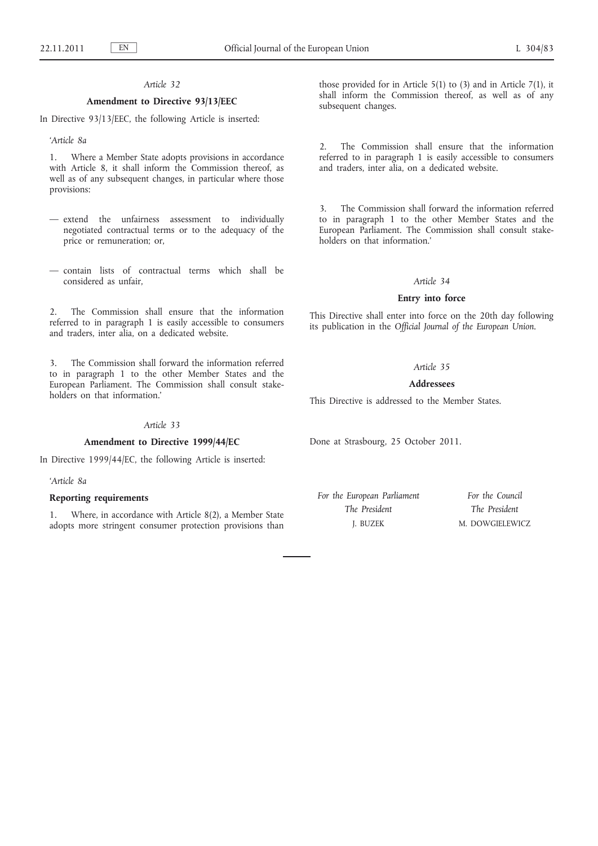## *Article 32*

## **Amendment to Directive 93/13/EEC**

In Directive 93/13/EEC, the following Article is inserted:

*'Article 8a*

1. Where a Member State adopts provisions in accordance with Article 8, it shall inform the Commission thereof, as well as of any subsequent changes, in particular where those provisions:

- extend the unfairness assessment to individually negotiated contractual terms or to the adequacy of the price or remuneration; or,
- contain lists of contractual terms which shall be considered as unfair,

2. The Commission shall ensure that the information referred to in paragraph 1 is easily accessible to consumers and traders, inter alia, on a dedicated website.

3. The Commission shall forward the information referred to in paragraph 1 to the other Member States and the European Parliament. The Commission shall consult stakeholders on that information.'

#### *Article 33*

#### **Amendment to Directive 1999/44/EC**

In Directive 1999/44/EC, the following Article is inserted:

*'Article 8a*

## **Reporting requirements**

1. Where, in accordance with Article 8(2), a Member State adopts more stringent consumer protection provisions than those provided for in Article 5(1) to (3) and in Article 7(1), it shall inform the Commission thereof, as well as of any subsequent changes.

2. The Commission shall ensure that the information referred to in paragraph 1 is easily accessible to consumers and traders, inter alia, on a dedicated website.

3. The Commission shall forward the information referred to in paragraph 1 to the other Member States and the European Parliament. The Commission shall consult stakeholders on that information.'

## *Article 34*

### **Entry into force**

This Directive shall enter into force on the 20th day following its publication in the *Official Journal of the European Union*.

#### *Article 35*

## **Addressees**

This Directive is addressed to the Member States.

Done at Strasbourg, 25 October 2011.

*For the European Parliament The President* J. BUZEK

*For the Council The President* M. DOWGIELEWICZ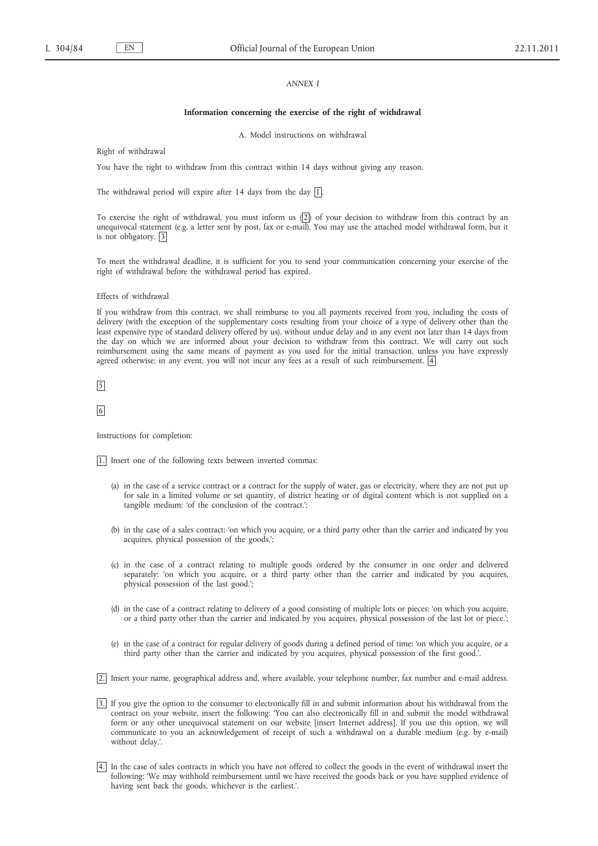## *ANNEX I*

#### **Information concerning the exercise of the right of withdrawal**

A. Model instructions on withdrawal

Right of withdrawal

You have the right to withdraw from this contract within 14 days without giving any reason.

The withdrawal period will expire after 14 days from the day  $\boxed{1}$ .

To exercise the right of withdrawal, you must inform us  $(2)$  of your decision to withdraw from this contract by an unequivocal statement (e.g. a letter sent by post, fax or e-mail). You may use the attached model withdrawal form, but it is not obligatory. 3

To meet the withdrawal deadline, it is sufficient for you to send your communication concerning your exercise of the right of withdrawal before the withdrawal period has expired.

#### Effects of withdrawal

If you withdraw from this contract, we shall reimburse to you all payments received from you, including the costs of delivery (with the exception of the supplementary costs resulting from your choice of a type of delivery other than the least expensive type of standard delivery offered by us), without undue delay and in any event not later than 14 days from the day on which we are informed about your decision to withdraw from this contract. We will carry out such reimbursement using the same means of payment as you used for the initial transaction, unless you have expressly agreed otherwise; in any event, you will not incur any fees as a result of such reimbursement. 4

| v<br>۰. |
|---------|
| ٧<br>v  |

6

Instructions for completion:

1. Insert one of the following texts between inverted commas:

- (a) in the case of a service contract or a contract for the supply of water, gas or electricity, where they are not put up for sale in a limited volume or set quantity, of district heating or of digital content which is not supplied on a tangible medium: 'of the conclusion of the contract.';
- (b) in the case of a sales contract: 'on which you acquire, or a third party other than the carrier and indicated by you acquires, physical possession of the goods.';
- (c) in the case of a contract relating to multiple goods ordered by the consumer in one order and delivered separately: 'on which you acquire, or a third party other than the carrier and indicated by you acquires, physical possession of the last good.';
- (d) in the case of a contract relating to delivery of a good consisting of multiple lots or pieces: 'on which you acquire, or a third party other than the carrier and indicated by you acquires, physical possession of the last lot or piece.';
- (e) in the case of a contract for regular delivery of goods during a defined period of time: 'on which you acquire, or a third party other than the carrier and indicated by you acquires, physical possession of the first good.'.
- 2. Insert your name, geographical address and, where available, your telephone number, fax number and e-mail address.
- 3. If you give the option to the consumer to electronically fill in and submit information about his withdrawal from the contract on your website, insert the following: 'You can also electronically fill in and submit the model withdrawal form or any other unequivocal statement on our website [insert Internet address]. If you use this option, we will communicate to you an acknowledgement of receipt of such a withdrawal on a durable medium (e.g. by e-mail) without delay.'.
- 4. In the case of sales contracts in which you have not offered to collect the goods in the event of withdrawal insert the following: 'We may withhold reimbursement until we have received the goods back or you have supplied evidence of having sent back the goods, whichever is the earliest.'.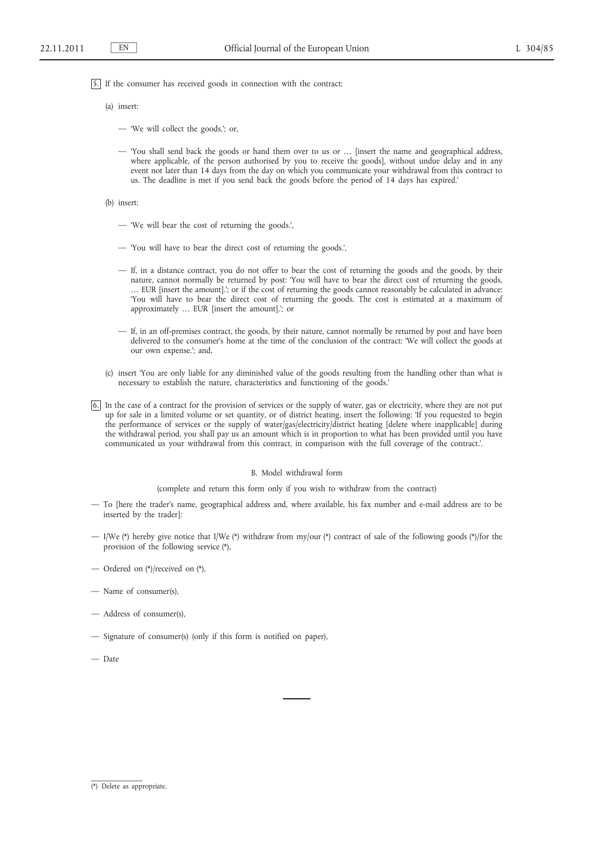5. If the consumer has received goods in connection with the contract:

(a) insert:

- 'We will collect the goods.'; or,
- 'You shall send back the goods or hand them over to us or … [insert the name and geographical address, where applicable, of the person authorised by you to receive the goods], without undue delay and in any event not later than 14 days from the day on which you communicate your withdrawal from this contract to us. The deadline is met if you send back the goods before the period of 14 days has expired.'
- (b) insert:
	- 'We will bear the cost of returning the goods.',
	- 'You will have to bear the direct cost of returning the goods.',
	- If, in a distance contract, you do not offer to bear the cost of returning the goods and the goods, by their nature, cannot normally be returned by post: 'You will have to bear the direct cost of returning the goods, … EUR [insert the amount].'; or if the cost of returning the goods cannot reasonably be calculated in advance: 'You will have to bear the direct cost of returning the goods. The cost is estimated at a maximum of approximately … EUR [insert the amount].'; or
	- If, in an off-premises contract, the goods, by their nature, cannot normally be returned by post and have been delivered to the consumer's home at the time of the conclusion of the contract: 'We will collect the goods at our own expense.'; and,
- (c) insert 'You are only liable for any diminished value of the goods resulting from the handling other than what is necessary to establish the nature, characteristics and functioning of the goods.'
- 6. In the case of a contract for the provision of services or the supply of water, gas or electricity, where they are not put up for sale in a limited volume or set quantity, or of district heating, insert the following: 'If you requested to begin the performance of services or the supply of water/gas/electricity/district heating [delete where inapplicable] during the withdrawal period, you shall pay us an amount which is in proportion to what has been provided until you have communicated us your withdrawal from this contract, in comparison with the full coverage of the contract.'.

#### B. Model withdrawal form

(complete and return this form only if you wish to withdraw from the contract)

- To [here the trader's name, geographical address and, where available, his fax number and e-mail address are to be inserted by the trader]:
- I/We (\*) hereby give notice that I/We (\*) withdraw from my/our (\*) contract of sale of the following goods (\*)/for the provision of the following service (\*),
- Ordered on (\*)/received on (\*),
- Name of consumer(s),
- Address of consumer(s),
- Signature of consumer(s) (only if this form is notified on paper),
- Date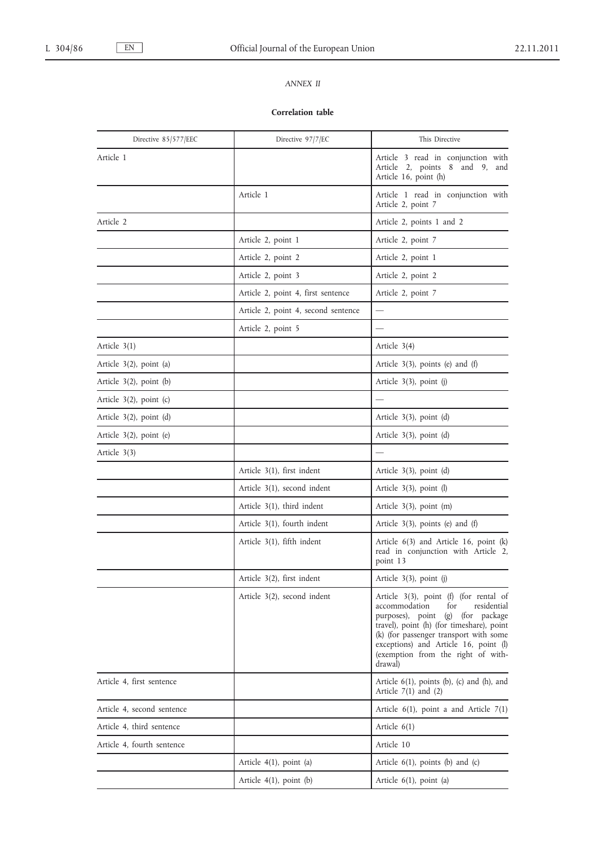## *ANNEX II*

## **Correlation table**

| Directive 85/577/EEC         | Directive 97/7/EC                   | This Directive                                                                                                                                                                                                                                                                                         |
|------------------------------|-------------------------------------|--------------------------------------------------------------------------------------------------------------------------------------------------------------------------------------------------------------------------------------------------------------------------------------------------------|
| Article 1                    |                                     | Article 3 read in conjunction with<br>Article 2, points 8 and 9,<br>and<br>Article 16, point (h)                                                                                                                                                                                                       |
|                              | Article 1                           | Article 1 read in conjunction with<br>Article 2, point 7                                                                                                                                                                                                                                               |
| Article 2                    |                                     | Article 2, points 1 and 2                                                                                                                                                                                                                                                                              |
|                              | Article 2, point 1                  | Article 2, point 7                                                                                                                                                                                                                                                                                     |
|                              | Article 2, point 2                  | Article 2, point 1                                                                                                                                                                                                                                                                                     |
|                              | Article 2, point 3                  | Article 2, point 2                                                                                                                                                                                                                                                                                     |
|                              | Article 2, point 4, first sentence  | Article 2, point 7                                                                                                                                                                                                                                                                                     |
|                              | Article 2, point 4, second sentence |                                                                                                                                                                                                                                                                                                        |
|                              | Article 2, point 5                  |                                                                                                                                                                                                                                                                                                        |
| Article $3(1)$               |                                     | Article 3(4)                                                                                                                                                                                                                                                                                           |
| Article 3(2), point (a)      |                                     | Article 3(3), points (e) and (f)                                                                                                                                                                                                                                                                       |
| Article $3(2)$ , point $(b)$ |                                     | Article 3(3), point (j)                                                                                                                                                                                                                                                                                |
| Article $3(2)$ , point (c)   |                                     |                                                                                                                                                                                                                                                                                                        |
| Article 3(2), point (d)      |                                     | Article 3(3), point (d)                                                                                                                                                                                                                                                                                |
| Article $3(2)$ , point (e)   |                                     | Article 3(3), point (d)                                                                                                                                                                                                                                                                                |
| Article 3(3)                 |                                     |                                                                                                                                                                                                                                                                                                        |
|                              | Article 3(1), first indent          | Article 3(3), point (d)                                                                                                                                                                                                                                                                                |
|                              | Article 3(1), second indent         | Article $3(3)$ , point $(l)$                                                                                                                                                                                                                                                                           |
|                              | Article $3(1)$ , third indent       | Article $3(3)$ , point $(m)$                                                                                                                                                                                                                                                                           |
|                              | Article $3(1)$ , fourth indent      | Article $3(3)$ , points (e) and (f)                                                                                                                                                                                                                                                                    |
|                              | Article 3(1), fifth indent          | Article 6(3) and Article 16, point (k)<br>read in conjunction with Article 2,<br>point 13                                                                                                                                                                                                              |
|                              | Article 3(2), first indent          | Article 3(3), point (j)                                                                                                                                                                                                                                                                                |
|                              | Article $3(2)$ , second indent      | Article 3(3), point (f) (for rental of<br>accommodation<br>for<br>residential<br>purposes), point<br>(g) (for package<br>travel), point (h) (for timeshare), point<br>(k) (for passenger transport with some<br>exceptions) and Article 16, point (l)<br>(exemption from the right of with-<br>drawal) |
| Article 4, first sentence    |                                     | Article 6(1), points (b), (c) and (h), and<br>Article $7(1)$ and $(2)$                                                                                                                                                                                                                                 |
| Article 4, second sentence   |                                     | Article $6(1)$ , point a and Article $7(1)$                                                                                                                                                                                                                                                            |
| Article 4, third sentence    |                                     | Article $6(1)$                                                                                                                                                                                                                                                                                         |
| Article 4, fourth sentence   |                                     | Article 10                                                                                                                                                                                                                                                                                             |
|                              | Article $4(1)$ , point (a)          | Article $6(1)$ , points (b) and (c)                                                                                                                                                                                                                                                                    |
|                              | Article $4(1)$ , point $(b)$        | Article $6(1)$ , point (a)                                                                                                                                                                                                                                                                             |
|                              |                                     |                                                                                                                                                                                                                                                                                                        |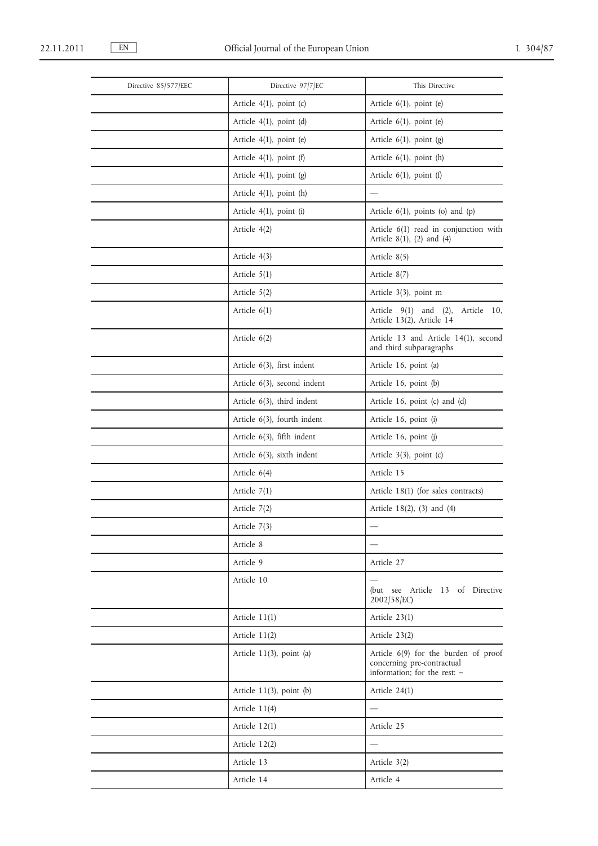| Directive 85/577/EEC | Directive 97/7/EC             | This Directive                                                                                     |
|----------------------|-------------------------------|----------------------------------------------------------------------------------------------------|
|                      | Article 4(1), point (c)       | Article 6(1), point (e)                                                                            |
|                      | Article $4(1)$ , point $(d)$  | Article $6(1)$ , point (e)                                                                         |
|                      | Article $4(1)$ , point (e)    | Article $6(1)$ , point $(g)$                                                                       |
|                      | Article $4(1)$ , point $(f)$  | Article $6(1)$ , point $(h)$                                                                       |
|                      | Article $4(1)$ , point $(g)$  | Article $6(1)$ , point $(f)$                                                                       |
|                      | Article $4(1)$ , point $(h)$  |                                                                                                    |
|                      | Article $4(1)$ , point (i)    | Article $6(1)$ , points (o) and (p)                                                                |
|                      | Article 4(2)                  | Article 6(1) read in conjunction with<br>Article $8(1)$ , $(2)$ and $(4)$                          |
|                      | Article $4(3)$                | Article $8(5)$                                                                                     |
|                      | Article $5(1)$                | Article 8(7)                                                                                       |
|                      | Article $5(2)$                | Article $3(3)$ , point m                                                                           |
|                      | Article $6(1)$                | Article $9(1)$ and $(2)$ ,<br>Article<br>10,<br>Article 13(2), Article 14                          |
|                      | Article $6(2)$                | Article 13 and Article 14(1), second<br>and third subparagraphs                                    |
|                      | Article 6(3), first indent    | Article 16, point (a)                                                                              |
|                      | Article 6(3), second indent   | Article 16, point (b)                                                                              |
|                      | Article $6(3)$ , third indent | Article 16, point (c) and (d)                                                                      |
|                      | Article 6(3), fourth indent   | Article 16, point (i)                                                                              |
|                      | Article 6(3), fifth indent    | Article 16, point (j)                                                                              |
|                      | Article 6(3), sixth indent    | Article $3(3)$ , point (c)                                                                         |
|                      | Article $6(4)$                | Article 15                                                                                         |
|                      | Article $7(1)$                | Article 18(1) (for sales contracts)                                                                |
|                      | Article 7(2)                  | Article 18(2), (3) and (4)                                                                         |
|                      | Article $7(3)$                |                                                                                                    |
|                      | Article 8                     |                                                                                                    |
|                      | Article 9                     | Article 27                                                                                         |
|                      | Article 10                    | (but see Article 13 of Directive<br>2002/58/EC)                                                    |
|                      | Article $11(1)$               | Article $23(1)$                                                                                    |
|                      | Article 11(2)                 | Article 23(2)                                                                                      |
|                      | Article 11(3), point (a)      | Article 6(9) for the burden of proof<br>concerning pre-contractual<br>information; for the rest: - |
|                      | Article $11(3)$ , point $(b)$ | Article $24(1)$                                                                                    |
|                      | Article 11(4)                 | $\overline{\phantom{0}}$                                                                           |
|                      | Article $12(1)$               | Article 25                                                                                         |
|                      | Article $12(2)$               |                                                                                                    |
|                      | Article 13                    | Article 3(2)                                                                                       |
|                      | Article 14                    | Article 4                                                                                          |